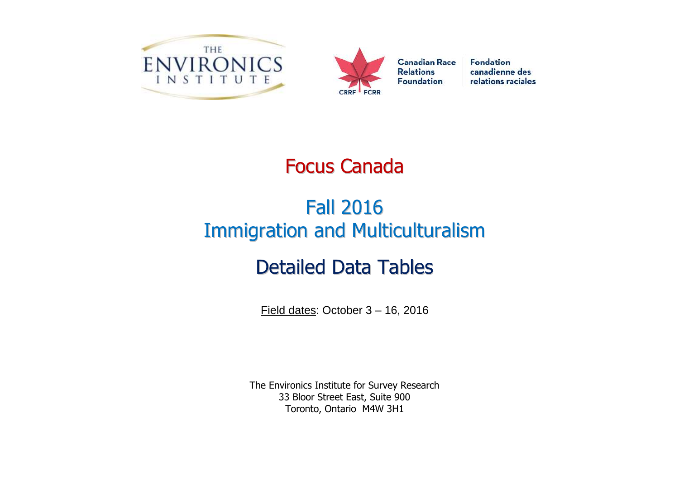



**Fondation** canadienne des relations raciales

# Focus Canada

# Fall 2016 Immigration and Multiculturalism

# Detailed Data Tables

Field dates: October 3 – 16, 2016

The Environics Institute for Survey Research 33 Bloor Street East, Suite 900 Toronto, Ontario M4W 3H1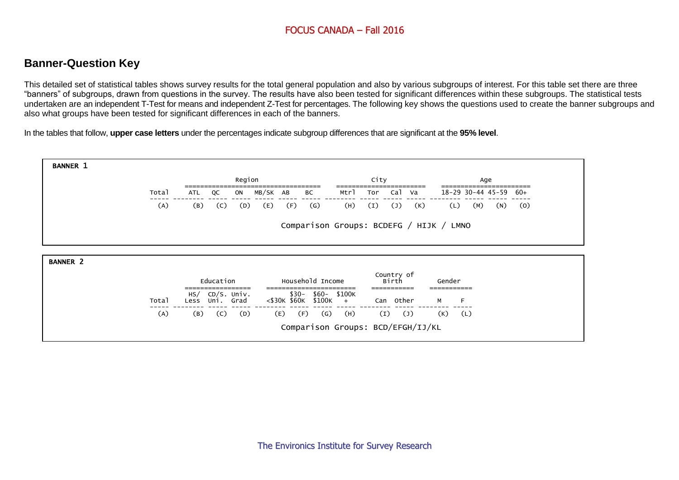# **Banner-Question Key**

This detailed set of statistical tables shows survey results for the total general population and also by various subgroups of interest. For this table set there are three "banners" of subgroups, drawn from questions in the survey. The results have also been tested for significant differences within these subgroups. The statistical tests undertaken are an independent T-Test for means and independent Z-Test for percentages. The following key shows the questions used to create the banner subgroups and also what groups have been tested for significant differences in each of the banners.

In the tables that follow, **upper case letters** under the percentages indicate subgroup differences that are significant at the **95% level**.

| <b>BANNER 1</b> |       |             |                          |          |                        |              |                     |      |                                  |           |                   |     |       |
|-----------------|-------|-------------|--------------------------|----------|------------------------|--------------|---------------------|------|----------------------------------|-----------|-------------------|-----|-------|
|                 |       |             | Region                   |          |                        |              |                     | City |                                  |           |                   | Age |       |
|                 | Total | QC<br>ATL   | ON                       | MB/SK AB |                        | BC           | Mtrl                | Tor  | Cal<br>va                        |           | 18-29 30-44 45-59 |     | $60+$ |
|                 | (A)   | (B)<br>(C)  | (D)                      | (E)      | (F)                    | $\mathsf{G}$ | (H)                 | (I)  | (K)<br>$\mathcal{L}(\mathsf{J})$ | (L)       | (M)               | (N) | (0)   |
| <b>BANNER 2</b> |       |             |                          |          |                        |              |                     |      |                                  |           |                   |     |       |
|                 |       | Education   |                          |          | Household Income       |              |                     |      | Country of<br>Birth              | Gender    |                   |     |       |
|                 | Total | HS/<br>Less | CD/S. Univ.<br>Uni. Grad |          | $$30-$<br><\$30K \$60K | \$100K       | \$60- \$100K<br>$+$ |      | Can Other                        | м         | F                 |     |       |
|                 | (A)   | (B)<br>(C)  | (D)                      | (E)      | (F)                    | $\mathsf{G}$ | (H)                 | (I)  | $(\mathsf{J})$                   | $(K)$ (L) |                   |     |       |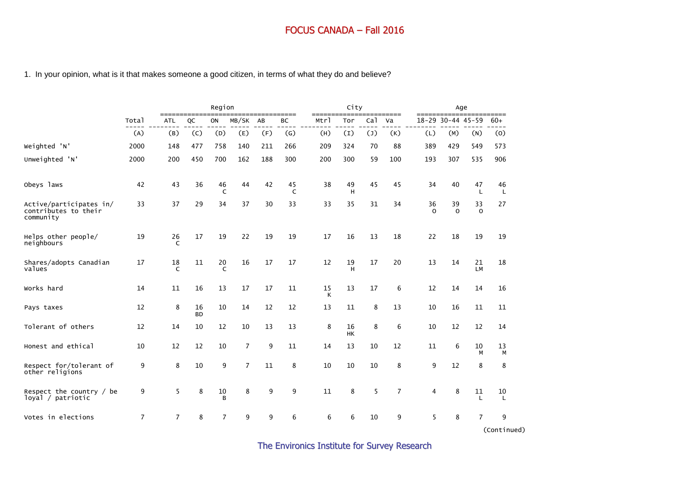#### 1. In your opinion, what is it that makes someone a good citizen, in terms of what they do and believe?

|                                                              |                |                    |                 | Region             |                |     |         |              | City     |                 |                |                |                   | Age                |         |
|--------------------------------------------------------------|----------------|--------------------|-----------------|--------------------|----------------|-----|---------|--------------|----------|-----------------|----------------|----------------|-------------------|--------------------|---------|
|                                                              | Total          | $==$<br><b>ATL</b> | QC              | ON                 | MB/SK          | AB  | ВC      | ====<br>Mtrl | Tor      | Ca <sub>1</sub> | Va             |                | 18-29 30-44 45-59 |                    | $60+$   |
|                                                              | (A)            | (B)                | (C)             | (D)                | (E)            | (F) | (G)     | (H)          | (I)      | (1)             | (K)            | (L)            | (M)               | (N)                | (0)     |
| Weighted 'N'                                                 | 2000           | 148                | 477             | 758                | 140            | 211 | 266     | 209          | 324      | 70              | 88             | 389            | 429               | 549                | 573     |
| Unweighted 'N'                                               | 2000           | 200                | 450             | 700                | 162            | 188 | 300     | 200          | 300      | 59              | 100            | 193            | 307               | 535                | 906     |
| Obeys laws                                                   | 42             | 43                 | 36              | 46<br>$\mathsf{C}$ | 44             | 42  | 45<br>C | 38           | 49<br>н  | 45              | 45             | 34             | 40                | 47<br>$\mathbf{L}$ | 46<br>L |
| Active/participates in/<br>contributes to their<br>community | 33             | 37                 | 29              | 34                 | 37             | 30  | 33      | 33           | 35       | 31              | 34             | 36<br>$\Omega$ | 39<br>$\Omega$    | 33<br>$\Omega$     | 27      |
| Helps other people/<br>neighbours                            | 19             | 26<br>$\epsilon$   | 17              | 19                 | 22             | 19  | 19      | 17           | 16       | 13              | 18             | 22             | 18                | 19                 | 19      |
| Shares/adopts Canadian<br>values                             | 17             | 18<br>$\mathsf{C}$ | 11              | 20<br>C            | 16             | 17  | 17      | 12           | 19<br>н  | 17              | 20             | 13             | 14                | 21<br>LM           | 18      |
| Works hard                                                   | 14             | 11                 | 16              | 13                 | 17             | 17  | 11      | 15<br>К      | 13       | 17              | 6              | 12             | 14                | 14                 | 16      |
| Pays taxes                                                   | 12             | 8                  | 16<br><b>BD</b> | 10                 | 14             | 12  | 12      | 13           | 11       | 8               | 13             | 10             | 16                | 11                 | 11      |
| Tolerant of others                                           | 12             | 14                 | 10              | 12                 | 10             | 13  | 13      | 8            | 16<br>HK | 8               | 6              | 10             | 12                | 12                 | 14      |
| Honest and ethical                                           | 10             | 12                 | 12              | 10                 | $\overline{7}$ | 9   | 11      | 14           | 13       | 10              | 12             | 11             | 6                 | 10<br>M            | 13<br>М |
| Respect for/tolerant of<br>other religions                   | 9              | 8                  | 10              | 9                  | $\overline{7}$ | 11  | 8       | 10           | 10       | 10              | 8              | 9              | 12                | 8                  | 8       |
| Respect the country $/$ be<br>loyal / patriotic              | 9              | 5                  | 8               | 10<br>B            | 8              | 9   | 9       | 11           | 8        | 5               | $\overline{7}$ | 4              | 8                 | 11<br>$\mathbf{I}$ | 10<br>L |
| Votes in elections                                           | $\overline{7}$ | $\overline{7}$     | 8               | $\overline{7}$     | 9              | 9   | 6       | 6            | 6        | 10              | 9              | 5              | 8                 | $\overline{7}$     | 9       |

(Continued)

The Environics Institute for Survey Research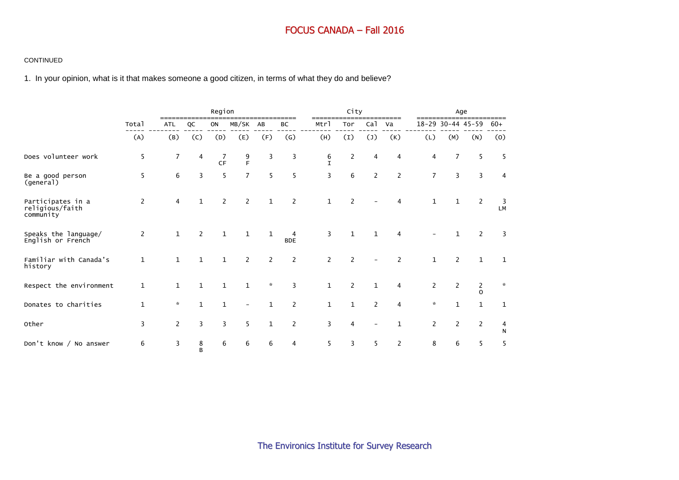#### CONTINUED

1. In your opinion, what is it that makes someone a good citizen, in terms of what they do and believe?

|                                                   |                |                |                | Region         |                |              |                   | -----             | City           |                 |                |                |                       | Age                        |                                      |
|---------------------------------------------------|----------------|----------------|----------------|----------------|----------------|--------------|-------------------|-------------------|----------------|-----------------|----------------|----------------|-----------------------|----------------------------|--------------------------------------|
|                                                   | Total          | <b>ATL</b>     | QC             | ON             | MB/SK          | AB           | BC                | Mtrl              | Tor            | Ca <sub>1</sub> | Va             |                | 18-29 30-44 45-59     |                            | $60+$                                |
|                                                   | (A)            | (B)            | (C)            | (D)            | (E)            | (F)          | $\left( G\right)$ | (H)               | (I)            | $(\texttt{J})$  | (K)            | (L)            | (M)                   | (N)                        | (0)                                  |
| Does volunteer work                               | 5              | $\overline{7}$ | 4              | 7<br><b>CF</b> | $\frac{9}{5}$  | 3            | 3                 | 6<br>$\mathsf{T}$ | 2              | 4               | 4              | 4              | $\overline{7}$        | 5                          | 5                                    |
| Be a good person<br>(general)                     | 5              | 6              | 3              | 5              | $\overline{7}$ | 5            | 5                 | 3                 | 6              | $\overline{2}$  | $\overline{2}$ | $\overline{7}$ | 3                     | $\overline{3}$             | $\overline{4}$                       |
| Participates in a<br>religious/faith<br>community | $\overline{2}$ | 4              | $\mathbf{1}$   | $\overline{2}$ | 2              | $\mathbf{1}$ | $\overline{2}$    | $\mathbf{1}$      | 2              |                 | 4              | $\mathbf{1}$   | $\mathbf{1}$          | 2                          | $\overline{\mathbf{3}}$<br><b>LM</b> |
| Speaks the language/<br>English or French         | $\overline{2}$ | $\mathbf{1}$   | $\overline{2}$ | $\mathbf{1}$   | $\mathbf{1}$   | $\mathbf{1}$ | 4<br><b>BDE</b>   | 3                 | $\mathbf{1}$   | $\mathbf{1}$    | 4              |                | 1                     | 2                          | 3                                    |
| Familiar with Canada's<br>history                 | $\mathbf 1$    | $\mathbf{1}$   | $\mathbf{1}$   | $\mathbf{1}$   | $\overline{2}$ | $\mathbf{2}$ | $\overline{2}$    | $\overline{2}$    | $\overline{2}$ |                 | 2              | $\mathbf{1}$   | $\overline{2}$        | $\mathbf{1}$               | $\mathbf{1}$                         |
| Respect the environment                           | $\mathbf 1$    | $\mathbf{1}$   | $\mathbf 1$    | $\mathbf{1}$   | $\mathbf{1}$   | $\mathbf{x}$ | 3                 | $\mathbf{1}$      | 2              | $\mathbf{1}$    | $\overline{4}$ | $\overline{2}$ | $\overline{2}$        | $\overline{2}$<br>$\Omega$ | $\mathbf{x}$                         |
| Donates to charities                              | $\mathbf{1}$   | $\mathbf{x}$   | $\mathbf{1}$   | $\mathbf{1}$   |                | $\mathbf{1}$ | 2                 | $\mathbf{1}$      | $\mathbf{1}$   | 2               | 4              | $\mathbf{x}$   | $\mathbf{1}$          | $\mathbf{1}$               | $\mathbf{1}$                         |
| Other                                             | 3              | $\overline{2}$ | 3              | 3              | 5              | $\mathbf{1}$ | $\overline{2}$    | 3                 | 4              |                 | $\mathbf{1}$   | $\overline{2}$ | $\mathbf{2}^{\prime}$ | $\overline{2}$             | 4<br>N                               |
| Don't know / No answer                            | 6              | 3              | 8<br>B         | 6              | 6              | 6            | 4                 | 5                 | 3              | 5               | $\overline{2}$ | 8              | 6                     | 5                          | 5                                    |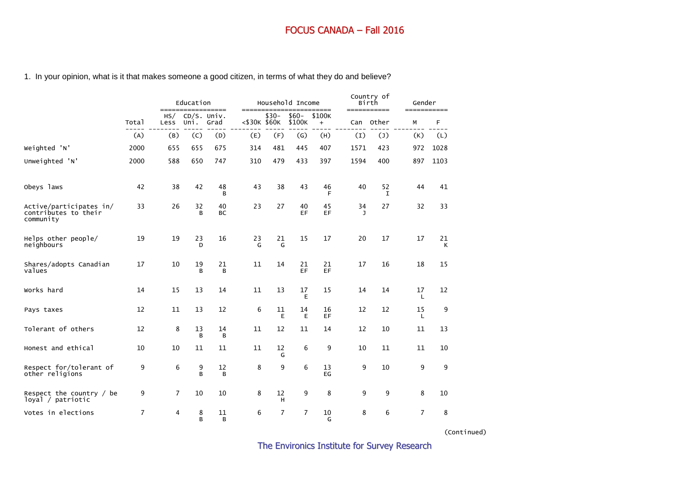# 1. In your opinion, what is it that makes someone a good citizen, in terms of what they do and believe?

|                                                              |                | =====          | Education           | ========        | $=====$      | Household Income |                 | ====          |         | Country of<br>Birth<br>=========== | Gender<br>=========== |         |
|--------------------------------------------------------------|----------------|----------------|---------------------|-----------------|--------------|------------------|-----------------|---------------|---------|------------------------------------|-----------------------|---------|
|                                                              | Total          | HS/<br>Less    | CD/S. Univ.<br>Uni. | Grad            | <\$30K \$60K | $$30-$           | \$60-<br>\$100K | \$100K<br>$+$ | Can     | Other                              | М                     | F       |
|                                                              | (A)            | (B)            | (C)                 | (D)             | (E)          | (F)              | (G)             | (H)           | (I)     | $(\mathsf{J})$                     | (K)                   | (L)     |
| Weighted 'N'                                                 | 2000           | 655            | 655                 | 675             | 314          | 481              | 445             | 407           | 1571    | 423                                | 972                   | 1028    |
| Unweighted 'N'                                               | 2000           | 588            | 650                 | 747             | 310          | 479              | 433             | 397           | 1594    | 400                                | 897                   | 1103    |
| Obeys laws                                                   | 42             | 38             | 42                  | 48<br>B         | 43           | 38               | 43              | 46<br>F       | 40      | 52<br>I                            | 44                    | 41      |
| Active/participates in/<br>contributes to their<br>community | 33             | 26             | 32<br>B             | 40<br><b>BC</b> | 23           | 27               | 40<br>EF        | 45<br>EF      | 34<br>J | 27                                 | 32                    | 33      |
| Helps other people/<br>neighbours                            | 19             | 19             | 23<br>D             | 16              | 23<br>G      | 21<br>G          | 15              | 17            | 20      | 17                                 | 17                    | 21<br>К |
| Shares/adopts Canadian<br>values                             | 17             | 10             | 19<br>B             | 21<br>B         | 11           | 14               | 21<br>EF        | 21<br>EF      | 17      | 16                                 | 18                    | 15      |
| Works hard                                                   | 14             | 15             | 13                  | 14              | 11           | 13               | 17<br>E         | 15            | 14      | 14                                 | 17<br>L               | 12      |
| Pays taxes                                                   | 12             | 11             | 13                  | 12              | 6            | 11<br>E          | 14<br>E         | 16<br>EF      | 12      | 12                                 | 15<br>L               | 9       |
| Tolerant of others                                           | 12             | 8              | 13<br>B             | 14<br>в         | 11           | 12               | 11              | 14            | 12      | 10                                 | 11                    | 13      |
| Honest and ethical                                           | 10             | 10             | 11                  | 11              | 11           | 12<br>G          | 6               | 9             | 10      | 11                                 | 11                    | 10      |
| Respect for/tolerant of<br>other religions                   | 9              | 6              | 9<br>B              | 12<br>в         | 8            | 9                | 6               | 13<br>EG      | 9       | 10                                 | 9                     | 9       |
| Respect the country $/$ be<br>loyal / patriotic              | 9              | $\overline{7}$ | 10                  | 10              | 8            | 12<br>н          | 9               | 8             | 9       | 9                                  | 8                     | 10      |
| Votes in elections                                           | $\overline{7}$ | $\overline{4}$ | 8<br>B              | 11<br>B         | 6            | $\overline{7}$   | $\overline{7}$  | 10<br>G       | 8       | 6                                  | 7                     | 8       |

(Continued)

The Environics Institute for Survey Research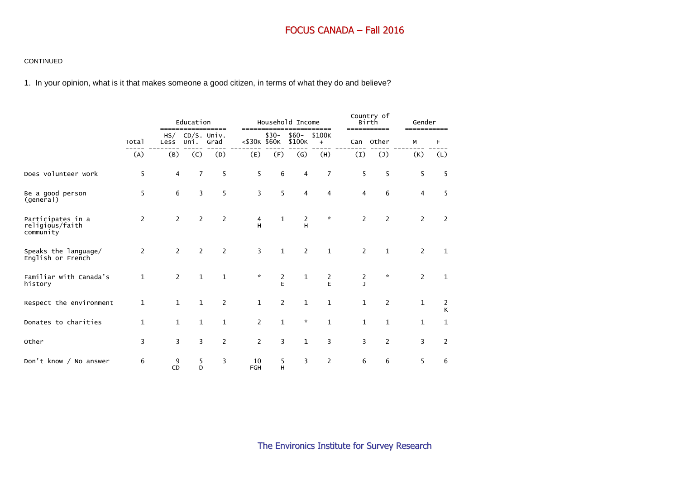#### CONTINUED

1. In your opinion, what is it that makes someone a good citizen, in terms of what they do and believe?

|                                                   |                |                | Education<br>================= |                |                  | ============== | Household Income  | ======         |                   | Country of<br>Birth<br>=========== | Gender<br>=========== |        |
|---------------------------------------------------|----------------|----------------|--------------------------------|----------------|------------------|----------------|-------------------|----------------|-------------------|------------------------------------|-----------------------|--------|
|                                                   | Total          | HS/<br>Less    | CD/S. Univ.<br>Uni.            | Grad           | <\$30K \$60K     | $$30-$         | $$60-$<br>\$100K  | \$100K<br>$+$  |                   | Can Other                          | М                     | F      |
|                                                   | (A)            | (B)            | (C)                            | (D)            | (E)              | (F)            | $\left( G\right)$ | (H)            | (I)               | $(\mathsf{J})$                     | (K)                   | (L)    |
| Does volunteer work                               | 5              | $\overline{4}$ | $\overline{7}$                 | 5              | 5                | 6              | 4                 | $\overline{7}$ | 5                 | 5                                  | 5                     | 5      |
| Be a good person<br>(general)                     | 5              | 6              | 3                              | 5              | 3                | 5              | 4                 | 4              | 4                 | 6                                  | 4                     | 5      |
| Participates in a<br>religious/faith<br>community | $\overline{2}$ | $\overline{2}$ | 2                              | $\overline{2}$ | 4<br>H           | 1              | 2<br>н            | $\star$        | 2                 | $\overline{2}$                     | $\mathbf{2}^{\prime}$ | 2      |
| Speaks the language/<br>English or French         | $\overline{2}$ | $\overline{2}$ | $\overline{2}$                 | $\overline{2}$ | 3                | $\mathbf 1$    | $\overline{2}$    | $\mathbf{1}$   | $\overline{2}$    | 1                                  | $\overline{2}$        | 1      |
| Familiar with Canada's<br>history                 | $\mathbf{1}$   | $\overline{2}$ | $\mathbf{1}$                   | $\mathbf{1}$   | $\mathbf{x}$     | $\frac{2}{E}$  | 1                 | $\frac{2}{E}$  | 2<br>$\mathbf{I}$ | $\mathbf{x}$                       | 2                     | 1      |
| Respect the environment                           | $\mathbf{1}$   | 1              | $\mathbf{1}$                   | 2              | $\mathbf{1}$     | $\overline{2}$ | $\mathbf{1}$      | $\mathbf{1}$   | $\mathbf{1}$      | $\overline{2}$                     | 1                     | 2<br>К |
| Donates to charities                              | $\mathbf{1}$   | $\mathbf{1}$   | $\mathbf{1}$                   | $\mathbf{1}$   | $\overline{2}$   | $\mathbf{1}$   | $\star$           | $\mathbf{1}$   | 1                 | 1                                  | $\mathbf{1}$          | 1      |
| Other                                             | 3              | 3              | 3                              | 2              | $\overline{2}$   | 3              | $\mathbf 1$       | 3              | 3                 | 2                                  | 3                     | 2      |
| Don't know / No answer                            | 6              | 9<br><b>CD</b> | 5<br>D                         | 3              | 10<br><b>FGH</b> | 5<br>н         | 3                 | 2              | 6                 | 6                                  | 5                     | 6      |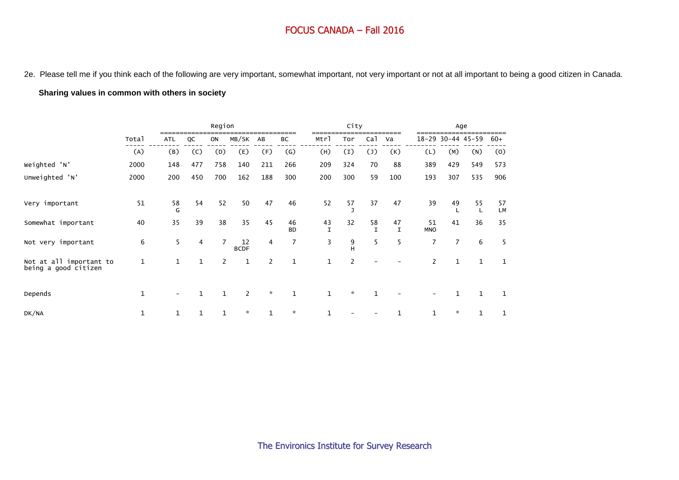2e. Please tell me if you think each of the following are very important, somewhat important, not very important or not at all important to being a good citizen in Canada.

#### **Sharing values in common with others in society**

|                                                 |             |            |              | Region         |                   |                |                   |                    | City                     |                    |                   |                          |                | Age               |          |
|-------------------------------------------------|-------------|------------|--------------|----------------|-------------------|----------------|-------------------|--------------------|--------------------------|--------------------|-------------------|--------------------------|----------------|-------------------|----------|
|                                                 | Total       | <b>ATL</b> | QC           | ON             | MB/SK             | AB             | ВC                | Mtrl               | Tor                      | Ca <sub>1</sub>    | Va                |                          |                | 18-29 30-44 45-59 | $60+$    |
|                                                 | (A)         | (B)        | (C)          | (D)            | (E)               | (F)            | $\left( G\right)$ | (H)                | (I)                      | $(\mathsf{J})$     | (K)               | (L)                      | (M)            | (N)               | (0)      |
| Weighted 'N'                                    | 2000        | 148        | 477          | 758            | 140               | 211            | 266               | 209                | 324                      | 70                 | 88                | 389                      | 429            | 549               | 573      |
| Unweighted 'N'                                  | 2000        | 200        | 450          | 700            | 162               | 188            | 300               | 200                | 300                      | 59                 | 100               | 193                      | 307            | 535               | 906      |
| Very important                                  | 51          | 58<br>G    | 54           | 52             | 50                | 47             | 46                | 52                 | 57                       | 37                 | 47                | 39                       | 49             | 55<br>L           | 57<br>LM |
| Somewhat important                              | 40          | 35         | 39           | 38             | 35                | 45             | 46<br><b>BD</b>   | 43<br>$\mathsf{T}$ | 32                       | 58<br>$\mathsf{T}$ | 47<br>$\mathbf I$ | 51<br><b>MNO</b>         | 41             | 36                | 35       |
| Not very important                              | 6           | 5          | 4            | $\overline{7}$ | 12<br><b>BCDF</b> | 4              | 7                 | 3                  | 9<br>H                   | 5                  | 5                 | $\overline{7}$           | $\overline{7}$ | 6                 | 5        |
| Not at all important to<br>being a good citizen | $\mathbf 1$ |            | $\mathbf{1}$ | $\overline{2}$ | 1                 | $\overline{c}$ | $\mathbf{1}$      | 1                  | $\overline{\phantom{0}}$ |                    |                   | $\overline{\phantom{a}}$ | $\mathbf{1}$   | $\mathbf{1}$      | 1        |
| Depends                                         | 1           |            | $\mathbf{1}$ |                | $\overline{2}$    | $\mathcal{R}$  | $\mathbf{1}$      | 1                  | $\boldsymbol{\star}$     | $\mathbf{1}$       |                   |                          |                | $\mathbf{1}$      | 1        |
| DK/NA                                           | 1           |            |              |                | $\star$           | $\mathbf{1}$   | $\star$           |                    |                          |                    |                   |                          | $\star$        | $\mathbf{1}$      |          |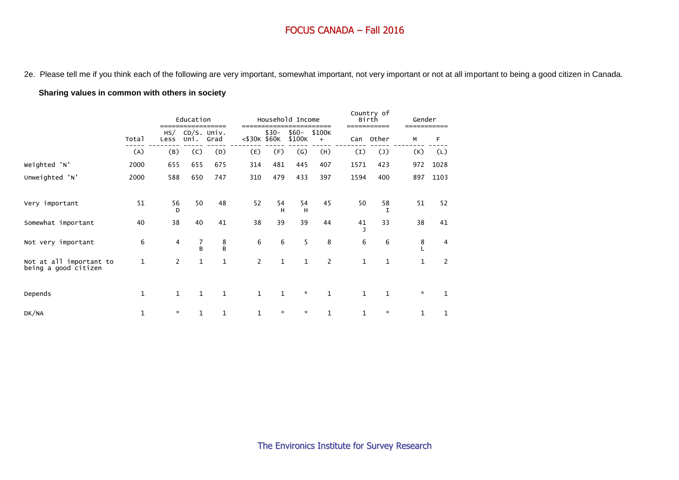2e. Please tell me if you think each of the following are very important, somewhat important, not very important or not at all important to being a good citizen in Canada.

#### **Sharing values in common with others in society**

|                                                 |              |                | Education           |              |                |              | Household Income  |                       |             | Country of<br>Birth<br>------------ | Gender<br>------------ |                |
|-------------------------------------------------|--------------|----------------|---------------------|--------------|----------------|--------------|-------------------|-----------------------|-------------|-------------------------------------|------------------------|----------------|
|                                                 | Total        | HS/<br>Less    | CD/S. Univ.<br>Uni. | Grad         | <\$30K \$60K   | $$30-$       | $$60-$<br>\$100K  | ====<br>\$100K<br>$+$ | Can         | Other                               | М                      | F              |
|                                                 | (A)          | (B)            | (C)                 | (D)          | (E)            | (F)          | $\left( G\right)$ | (H)                   | (I)         | $(\mathsf{J})$                      | (K)                    | (L)            |
| Weighted 'N'                                    | 2000         | 655            | 655                 | 675          | 314            | 481          | 445               | 407                   | 1571        | 423                                 | 972                    | 1028           |
| Unweighted 'N'                                  | 2000         | 588            | 650                 | 747          | 310            | 479          | 433               | 397                   | 1594        | 400                                 | 897                    | 1103           |
| Very important                                  | 51           | 56<br>D        | 50                  | 48           | 52             | 54<br>н      | 54<br>H           | 45                    | 50          | 58<br>I                             | 51                     | 52             |
| Somewhat important                              | 40           | 38             | 40                  | 41           | 38             | 39           | 39                | 44                    | 41          | 33                                  | 38                     | 41             |
| Not very important                              | 6            | 4              | 7<br>B              | 8<br>B       | 6              | 6            | 5                 | 8                     | 6           | 6                                   | 8                      | 4              |
| Not at all important to<br>being a good citizen | $\mathbf{1}$ | $\overline{2}$ | $\mathbf{1}$        | 1            | $\overline{2}$ | $\mathbf{1}$ | $\mathbf{1}$      | 2                     | $\mathbf 1$ | $\mathbf{1}$                        | $\mathbf{1}$           | $\overline{2}$ |
| Depends                                         | $\mathbf{1}$ | $\mathbf{1}$   | $\mathbf{1}$        | $\mathbf{1}$ | $\mathbf{1}$   | $\mathbf{1}$ | $\star$           | $\mathbf{1}$          | $\mathbf 1$ | $\mathbf{1}$                        | $\mathbf{x}$           | 1              |
| DK/NA                                           | 1            | $\mathcal{R}$  | 1                   | $\mathbf 1$  | 1              | $\star$      | $\mathcal{R}$     | $\mathbf 1$           | 1           | $\star$                             | $\mathbf{1}$           | 1              |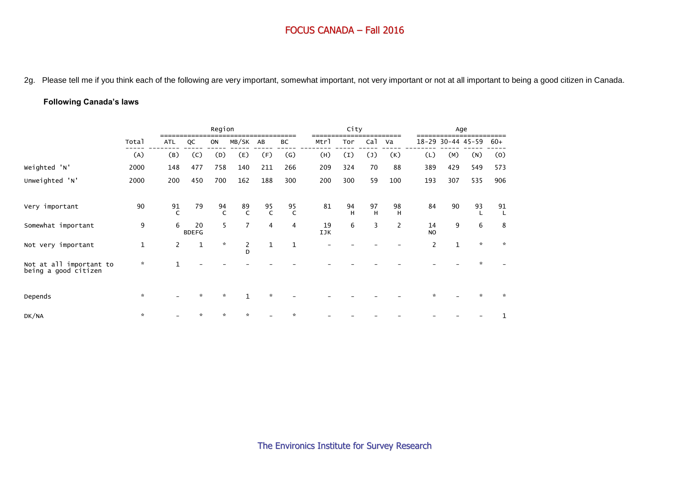2g. Please tell me if you think each of the following are very important, somewhat important, not very important or not at all important to being a good citizen in Canada.

#### **Following Canada's laws**

|                                                 |               |                    |                    | Region        |                    |                    |                   |           | City    |                 |                |                 |              | Age               |              |
|-------------------------------------------------|---------------|--------------------|--------------------|---------------|--------------------|--------------------|-------------------|-----------|---------|-----------------|----------------|-----------------|--------------|-------------------|--------------|
|                                                 | Total         | <b>ATL</b>         | QC                 | ON            | MB/SK              | AB                 | ВC                | Mtrl      | Tor     | Ca <sub>1</sub> | Va             |                 |              | 18-29 30-44 45-59 | $60+$        |
|                                                 | (A)           | (B)                | (C)                | (D)           | (E)                | (F)                | $\left( G\right)$ | (H)       | (I)     | $(\mathsf{J})$  | (K)            | (L)             | (M)          | (N)               | (0)          |
| Weighted 'N'                                    | 2000          | 148                | 477                | 758           | 140                | 211                | 266               | 209       | 324     | 70              | 88             | 389             | 429          | 549               | 573          |
| Unweighted 'N'                                  | 2000          | 200                | 450                | 700           | 162                | 188                | 300               | 200       | 300     | 59              | 100            | 193             | 307          | 535               | 906          |
| Very important                                  | 90            | 91<br>$\mathsf{C}$ | 79                 | 94<br>C       | 89<br>$\mathsf{C}$ | 95<br>$\mathsf{C}$ | 95<br>C           | 81        | 94<br>H | 97<br>H         | 98<br>H        | 84              | 90           | 93<br>L           | 91           |
| Somewhat important                              | 9             | 6                  | 20<br><b>BDEFG</b> | 5             | $\overline{7}$     | $\overline{4}$     | 4                 | 19<br>IJK | 6       | 3               | $\overline{2}$ | 14<br><b>NO</b> | 9            | 6                 | 8            |
| Not very important                              | $1\,$         | $\mathbf{2}$       | $1\,$              | $\mathcal{R}$ | $\frac{2}{D}$      | $\mathbf{1}$       | $\mathbf{1}$      |           |         |                 |                | $\overline{2}$  | $\mathbf{1}$ | $\mathbf{x}$      | $\mathbf{x}$ |
| Not at all important to<br>being a good citizen | $\mathcal{R}$ |                    |                    |               |                    |                    |                   |           |         |                 |                |                 |              |                   |              |
| Depends                                         | $\mathcal{R}$ |                    | $\star$            | $\mathcal{R}$ | $\mathbf{1}$       | $\star$            |                   |           |         |                 |                |                 |              | ÷                 | $\star$      |
| DK/NA                                           | $\mathcal{R}$ |                    | ÷                  |               | 交                  |                    |                   |           |         |                 |                |                 |              |                   |              |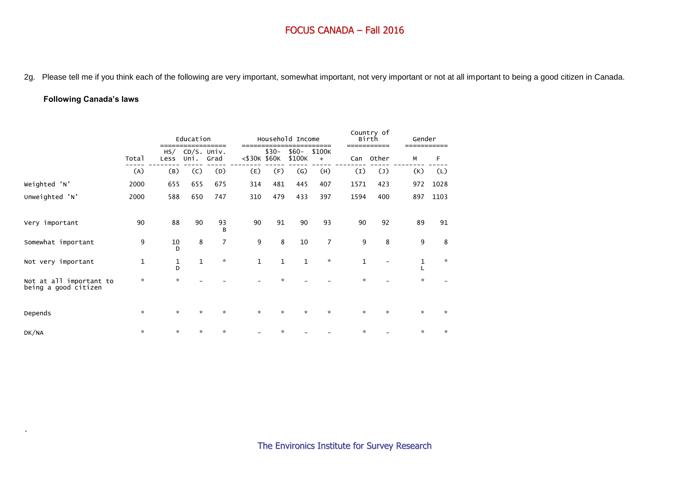2g. Please tell me if you think each of the following are very important, somewhat important, not very important or not at all important to being a good citizen in Canada.

#### **Following Canada's laws**

.

|                                                 |             |               | Education                |                |              |               | Household Income  |                     |              | Country of<br>Birth | Gender        |               |
|-------------------------------------------------|-------------|---------------|--------------------------|----------------|--------------|---------------|-------------------|---------------------|--------------|---------------------|---------------|---------------|
|                                                 | Total       | HS/<br>Less   | CD/S. Univ.<br>Uni. Grad |                | <\$30K \$60K | $$30-$        | $$60-$<br>\$100K  | \$100K<br>$\ddot{}$ | Can          | Other               | М             | F             |
|                                                 | (A)         | (B)           | (C)                      | (D)            | (E)          | (F)           | $\left( G\right)$ | (H)                 | (I)          | $(\mathsf{J})$      | (K)           | (L)           |
| Weighted 'N'                                    | 2000        | 655           | 655                      | 675            | 314          | 481           | 445               | 407                 | 1571         | 423                 | 972           | 1028          |
| Unweighted 'N'                                  | 2000        | 588           | 650                      | 747            | 310          | 479           | 433               | 397                 | 1594         | 400                 | 897           | 1103          |
| Very important                                  | 90          | 88            | 90                       | 93<br>B        | 90           | 91            | 90                | 93                  | 90           | 92                  | 89            | 91            |
| Somewhat important                              | 9           | 10<br>D       | 8                        | $\overline{7}$ | 9            | 8             | 10                | $\overline{7}$      | 9            | 8                   | 9             | 8             |
| Not very important                              | $\mathbf 1$ | 1<br>D        | 1                        | $\mathcal{R}$  | $\mathbf{1}$ | 1             | $\mathbf{1}$      | $\boldsymbol{\pi}$  | $\mathbf 1$  |                     | 1             | $\mathcal{R}$ |
| Not at all important to<br>being a good citizen | $\star$     | $\star$       |                          |                |              | $\star$       |                   |                     | *            |                     | $\mathcal{R}$ |               |
| Depends                                         | $\star$     | $\mathcal{R}$ | $\mathcal{R}$            | $\mathcal{R}$  | $\mathbf{x}$ | $\mathcal{R}$ | $\star$           | $\mathbf{x}$        | $\mathbf{x}$ | $\mathbf{x}$        | $\mathbf{x}$  | $\star$       |
| DK/NA                                           | $\star$     | $\mathcal{R}$ | $\star$                  | $\star$        |              | $\star$       |                   |                     | ×.           |                     | $\mathcal{R}$ | $\mathcal{R}$ |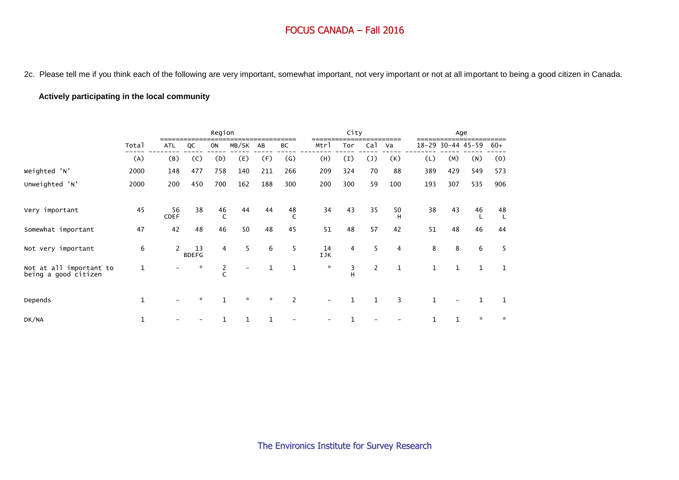2c. Please tell me if you think each of the following are very important, somewhat important, not very important or not at all important to being a good citizen in Canada.

#### **Actively participating in the local community**

|                                                 |              |                   |                    | Region         |                          |               |                   |               | City             |                 |                |              |              | Age               |              |
|-------------------------------------------------|--------------|-------------------|--------------------|----------------|--------------------------|---------------|-------------------|---------------|------------------|-----------------|----------------|--------------|--------------|-------------------|--------------|
|                                                 | Total        | <b>ATL</b>        | QC                 | ON             | MB/SK                    | AB            | BC                | Mtrl          | Tor              | Ca <sub>1</sub> | Va             |              |              | 18-29 30-44 45-59 | $60+$        |
|                                                 | (A)          | (B)               | (C)                | (D)            | (E)                      | (F)           | $\left( G\right)$ | (H)           | $\left(1\right)$ | $(\mathsf{J})$  | (K)            | (L)          | (M)          | (N)               | (0)          |
| Weighted 'N'                                    | 2000         | 148               | 477                | 758            | 140                      | 211           | 266               | 209           | 324              | 70              | 88             | 389          | 429          | 549               | 573          |
| Unweighted 'N'                                  | 2000         | 200               | 450                | 700            | 162                      | 188           | 300               | 200           | 300              | 59              | 100            | 193          | 307          | 535               | 906          |
| Very important                                  | 45           | 56<br><b>CDEF</b> | 38                 | 46             | 44                       | 44            | 48<br>C           | 34            | 43               | 35              | 50<br>H        | 38           | 43           | 46                | 48           |
| Somewhat important                              | 47           | 42                | 48                 | 46             | 50                       | 48            | 45                | 51            | 48               | 57              | 42             | 51           | 48           | 46                | 44           |
| Not very important                              | 6            | $\mathbf{2}$      | 13<br><b>BDEFG</b> | $\overline{4}$ | 5                        | 6             | 5                 | 14<br>IJK     | $\overline{4}$   | 5               | $\overline{4}$ | 8            | 8            | 6                 | 5            |
| Not at all important to<br>being a good citizen | $\mathbf 1$  |                   | $\mathbf{x}$       | $\frac{2}{C}$  | $\overline{\phantom{a}}$ | 1             | 1                 | $\mathcal{R}$ | 3<br>H           | $\overline{2}$  | $\mathbf{1}$   | 1            | $\mathbf{1}$ | $\mathbf{1}$      | 1            |
| Depends                                         | $\mathbf{1}$ |                   | $\mathbf{x}$       |                | $\boldsymbol{\pi}$       | $\mathcal{R}$ | 2                 |               | $\mathbf{1}$     | $\mathbf{1}$    | 3              | $\mathbf{1}$ |              | $\mathbf{1}$      | 1            |
| DK/NA                                           | 1            |                   |                    |                | $\mathbf{1}$             | 1             |                   |               |                  |                 |                |              | 1            | $\star$           | $\mathbf{x}$ |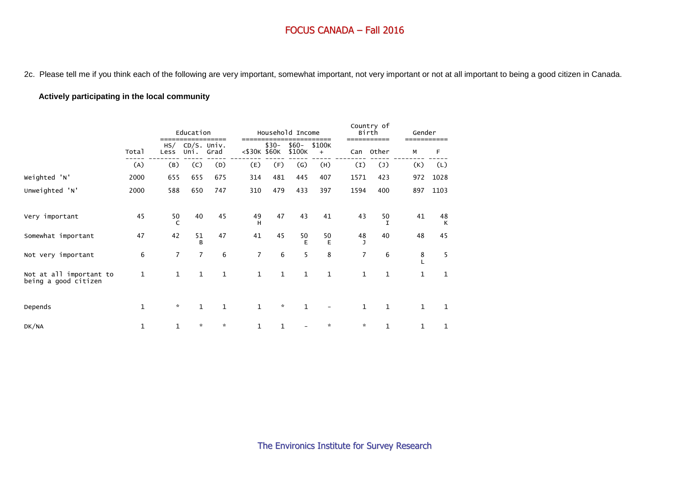2c. Please tell me if you think each of the following are very important, somewhat important, not very important or not at all important to being a good citizen in Canada.

#### **Actively participating in the local community**

|                                                 |              |                | Education           |               |                |        | Household Income  |                     |                    | Country of<br>Birth | Gender       |         |  |
|-------------------------------------------------|--------------|----------------|---------------------|---------------|----------------|--------|-------------------|---------------------|--------------------|---------------------|--------------|---------|--|
|                                                 | Total        | HS/<br>Less    | CD/S. Univ.<br>Uni. | _____<br>Grad | <\$30K \$60K   | $$30-$ | $$60-$<br>\$100K  | \$100K<br>$\ddot{}$ | Can                | Other               | М            | F       |  |
|                                                 | (A)          | (B)            | (C)                 | (D)           | (E)            | (F)    | $\left( G\right)$ | (H)                 | (I)                | $(\mathsf{J})$      | (K)          | (L)     |  |
| Weighted 'N'                                    | 2000         | 655            | 655                 | 675           | 314            | 481    | 445               | 407                 | 1571               | 423                 | 972          | 1028    |  |
| Unweighted 'N'                                  | 2000         | 588            | 650                 | 747           | 310            | 479    | 433               | 397                 | 1594               | 400                 | 897          | 1103    |  |
| Very important                                  | 45           | 50             | 40                  | 45            | 49<br>H        | 47     | 43                | 41                  | 43                 | 50<br>T             | 41           | 48<br>К |  |
| Somewhat important                              | 47           | 42             | 51<br>B             | 47            | 41             | 45     | 50<br>E           | 50<br>E             | 48<br>$\mathbf{I}$ | 40                  | 48           | 45      |  |
| Not very important                              | 6            | $\overline{7}$ | $\overline{7}$      | 6             | $\overline{7}$ | 6      | 5                 | 8                   | $\overline{7}$     | 6                   | 8            | 5       |  |
| Not at all important to<br>being a good citizen | $\mathbf{1}$ | $\mathbf{1}$   | 1                   | $\mathbf 1$   | $\mathbf{1}$   | 1      | 1                 | 1                   | $\mathbf{1}$       | $\mathbf{1}$        | 1            | 1       |  |
| Depends                                         | $\mathbf{1}$ | $\star$        | $\mathbf{1}$        | $\mathbf{1}$  | $\mathbf{1}$   | ☆      | $\mathbf{1}$      |                     | $\mathbf{1}$       | $\mathbf{1}$        | $\mathbf{1}$ | 1       |  |
| DK/NA                                           | 1            | $\mathbf{1}$   | $\mathcal{R}$       | $\mathcal{R}$ | $\mathbf 1$    | 1      |                   | $\mathbf{x}$        | $\star$            | 1                   | $\mathbf 1$  | 1       |  |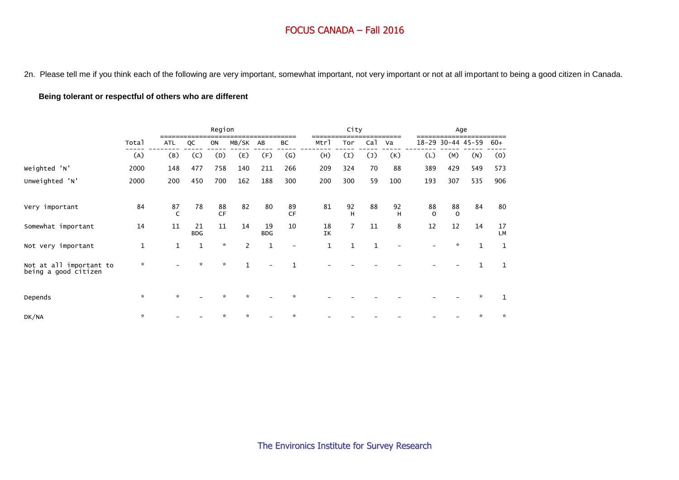2n. Please tell me if you think each of the following are very important, somewhat important, not very important or not at all important to being a good citizen in Canada.

#### **Being tolerant or respectful of others who are different**

|                                                 |               |                    |                  | Region          |                |                  |                           |              | City             |                |         |                |                | Age               |                     |
|-------------------------------------------------|---------------|--------------------|------------------|-----------------|----------------|------------------|---------------------------|--------------|------------------|----------------|---------|----------------|----------------|-------------------|---------------------|
|                                                 | Total         | ATL                | QC               | ON              | MB/SK          | AB               | ВC                        | Mtrl         | Tor              | Cal            | Va      |                |                | 18-29 30-44 45-59 | $60+$               |
|                                                 | (A)           | (B)                | (C)              | (D)             | (E)            | (F)              | $\left(\mathsf{G}\right)$ | (H)          | $\left(1\right)$ | $(\mathsf{J})$ | (K)     | (L)            | (M)            | (N)               | (0)                 |
| Weighted 'N'                                    | 2000          | 148                | 477              | 758             | 140            | 211              | 266                       | 209          | 324              | 70             | 88      | 389            | 429            | 549               | 573                 |
| Unweighted 'N'                                  | 2000          | 200                | 450              | 700             | 162            | 188              | 300                       | 200          | 300              | 59             | 100     | 193            | 307            | 535               | 906                 |
| Very important                                  | 84            | 87<br>$\mathsf{C}$ | 78               | 88<br><b>CF</b> | 82             | 80               | 89<br>CF                  | 81           | 92<br>H          | 88             | 92<br>H | 88<br>$\Omega$ | 88<br>$\Omega$ | 84                | 80                  |
| Somewhat important                              | 14            | 11                 | 21<br><b>BDG</b> | 11              | 14             | 19<br><b>BDG</b> | 10                        | 18<br>IK     | $\overline{7}$   | 11             | 8       | 12             | 12             | 14                | $17\,$<br><b>LM</b> |
| Not very important                              | 1             | $\mathbf{1}$       | $\mathbf{1}$     | $\mathbf{x}$    | $\overline{2}$ | $\mathbf{1}$     | $\overline{\phantom{a}}$  | $\mathbf{1}$ | $\mathbf{1}$     | $\mathbf{1}$   |         |                | $\star$        | $\mathbf{1}$      | $\mathbf{1}$        |
| Not at all important to<br>being a good citizen | $\mathcal{R}$ |                    | $\star$          | $\mathcal{R}$   | $\mathbf{1}$   |                  |                           |              |                  |                |         |                |                | 1                 | 1                   |
| Depends                                         | $\mathbf{x}$  | $\star$            |                  | ÷               | $\star$        |                  |                           |              |                  |                |         |                |                | $\mathbf{x}$      |                     |
| DK/NA                                           | $\mathcal{R}$ |                    |                  |                 | $\mathbf{x}$   |                  |                           |              |                  |                |         |                |                | $\star$           | $\star$             |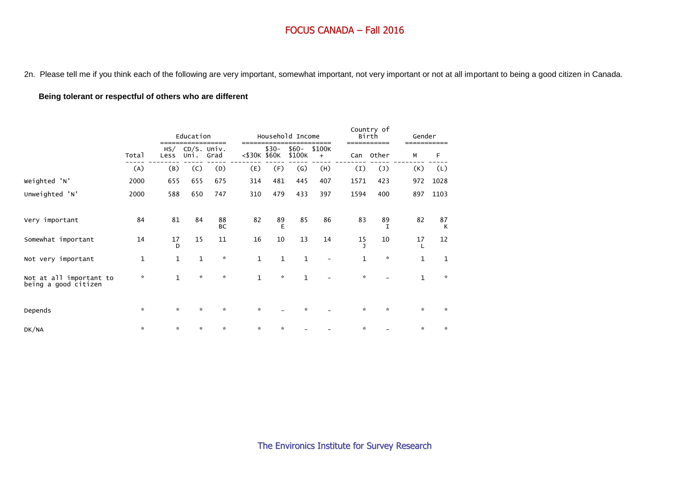2n. Please tell me if you think each of the following are very important, somewhat important, not very important or not at all important to being a good citizen in Canada.

## **Being tolerant or respectful of others who are different**

|                                                 |             |              | Education                 |                 |              |         | Household Income  |               |               | Country of<br>Birth  | Gender        |               |
|-------------------------------------------------|-------------|--------------|---------------------------|-----------------|--------------|---------|-------------------|---------------|---------------|----------------------|---------------|---------------|
|                                                 | Total       | Less         | $HS/$ CD/S. Univ.<br>Uni. | Grad            | <\$30K \$60K | $$30-$  | $$60-$<br>\$100K  | \$100K<br>$+$ | Can           | ===========<br>Other | М             | F             |
|                                                 | (A)         | (B)          | (C)                       | (D)             | (E)          | (F)     | $\left( G\right)$ | (H)           | (I)           | $(\mathsf{J})$       | (K)           | (L)           |
| Weighted 'N'                                    | 2000        | 655          | 655                       | 675             | 314          | 481     | 445               | 407           | 1571          | 423                  | 972           | 1028          |
| Unweighted 'N'                                  | 2000        | 588          | 650                       | 747             | 310          | 479     | 433               | 397           | 1594          | 400                  | 897           | 1103          |
| Very important                                  | 84          | 81           | 84                        | 88<br><b>BC</b> | 82           | 89<br>E | 85                | 86            | 83            | 89<br>I              | 82            | 87<br>К       |
| Somewhat important                              | 14          | 17<br>D      | 15                        | 11              | 16           | 10      | 13                | 14            | 15            | 10                   | 17            | 12            |
| Not very important                              | $\mathbf 1$ | 1            | 1                         | $\mathbf{x}$    | 1            | 1       | $\mathbf 1$       |               | 1             | $\boldsymbol{\pi}$   | $1\,$         | 1             |
| Not at all important to<br>being a good citizen | ×.          | $\mathbf{1}$ | $\star$                   | $\mathcal{R}$   | $\mathbf{1}$ | $\star$ | 1                 |               | $\mathcal{R}$ |                      | $\mathbf{1}$  | $\mathcal{R}$ |
| Depends                                         | $\star$     | $\star$      | $\star$                   | $\mathcal{R}$   | ×.           |         | $\star$           |               | $\star$       | $\star$              | $\mathcal{R}$ | $\star$       |
| DK/NA                                           | *           | $\star$      | $\star$                   | $\star$         | ×.           | *       |                   |               | ×.            |                      | $\mathcal{R}$ | $\mathcal{R}$ |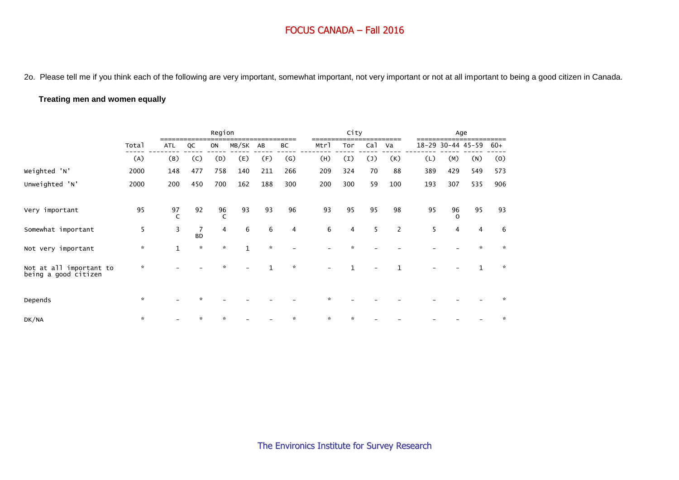2o. Please tell me if you think each of the following are very important, somewhat important, not very important or not at all important to being a good citizen in Canada.

#### **Treating men and women equally**

|                                                 |               |                    |                | Region             |              |               |                   |      | City             |                |     |     |                | Age               |               |
|-------------------------------------------------|---------------|--------------------|----------------|--------------------|--------------|---------------|-------------------|------|------------------|----------------|-----|-----|----------------|-------------------|---------------|
|                                                 | Total         | <b>ATL</b>         | QC             | ON                 | MB/SK        | AB            | ВC                | Mtrl | Tor              | ca1            | Va  |     |                | 18-29 30-44 45-59 | $60+$         |
|                                                 | (A)           | (B)                | (C)            | (D)                | (E)          | (F)           | $\left( G\right)$ | (H)  | $\left(1\right)$ | $(\mathsf{J})$ | (K) | (L) | (M)            | (N)               | (0)           |
| Weighted 'N'                                    | 2000          | 148                | 477            | 758                | 140          | 211           | 266               | 209  | 324              | 70             | 88  | 389 | 429            | 549               | 573           |
| Unweighted 'N'                                  | 2000          | 200                | 450            | 700                | 162          | 188           | 300               | 200  | 300              | 59             | 100 | 193 | 307            | 535               | 906           |
| Very important                                  | 95            | 97<br>$\mathsf{C}$ | 92             | 96<br>$\mathsf{C}$ | 93           | 93            | 96                | 93   | 95               | 95             | 98  | 95  | 96<br>$\Omega$ | 95                | 93            |
| Somewhat important                              | 5             | 3                  | 7<br><b>BD</b> | $\overline{4}$     | 6            | 6             | 4                 | 6    | $\overline{4}$   | 5              | 2   | 5   | 4              | $\overline{4}$    | 6             |
| Not very important                              | $\mathbf{x}$  | $\mathbf{1}$       | $\mathcal{R}$  | $\mathcal{R}$      | $\mathbf{1}$ | $\mathcal{R}$ |                   |      |                  |                |     |     |                | $\star$           | $\star$       |
| Not at all important to<br>being a good citizen | $\star$       |                    |                |                    |              | $\mathbf{1}$  | $\star$           |      |                  |                |     |     |                | $\mathbf{1}$      | $\mathcal{R}$ |
| Depends                                         | $\star$       |                    | ÷              |                    |              |               |                   |      |                  |                |     |     |                |                   |               |
| DK/NA                                           | $\mathcal{R}$ |                    | $\star$        |                    |              |               |                   | ÷    |                  |                |     |     |                |                   |               |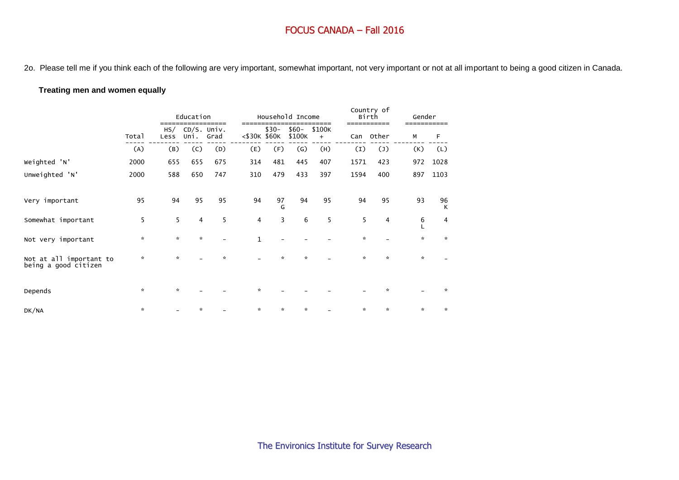2o. Please tell me if you think each of the following are very important, somewhat important, not very important or not at all important to being a good citizen in Canada.

#### **Treating men and women equally**

|                                                 |               |               | Education               |               |              |         | Household Income  |                       |               | Country of<br>Birth   | Gender        |               |
|-------------------------------------------------|---------------|---------------|-------------------------|---------------|--------------|---------|-------------------|-----------------------|---------------|-----------------------|---------------|---------------|
|                                                 | Total         | Less          | HS/ CD/S. Univ.<br>Uni. | -----<br>Grad | <\$30K \$60K | $$30-$  | $$60-$<br>\$100K  | ____<br>\$100K<br>$+$ | Can           | ------------<br>Other | М             | F             |
|                                                 | (A)           | (B)           | (C)                     | (D)           | (E)          | (F)     | $\left( G\right)$ | (H)                   | (I)           | $(\mathsf{J})$        | (K)           | (L)           |
| Weighted 'N'                                    | 2000          | 655           | 655                     | 675           | 314          | 481     | 445               | 407                   | 1571          | 423                   | 972           | 1028          |
| Unweighted 'N'                                  | 2000          | 588           | 650                     | 747           | 310          | 479     | 433               | 397                   | 1594          | 400                   | 897           | 1103          |
| Very important                                  | 95            | 94            | 95                      | 95            | 94           | 97<br>G | 94                | 95                    | 94            | 95                    | 93            | 96<br>К       |
| Somewhat important                              | 5             | 5             | 4                       | 5             | 4            | 3       | 6                 | 5                     | 5             | 4                     | 6             | 4             |
| Not very important                              | *             | $\mathcal{R}$ | $\star$                 |               | $\mathbf{1}$ |         |                   |                       | $\mathcal{R}$ |                       | $\star$       | $\mathcal{R}$ |
| Not at all important to<br>being a good citizen | $\star$       | $\mathcal{R}$ |                         | $\star$       |              | $\star$ | $\mathcal{R}$     |                       | $\mathcal{R}$ | $\star$               | $\mathcal{R}$ |               |
| Depends                                         | $\star$       | $\mathcal{R}$ |                         |               | ×.           |         |                   |                       |               | $\star$               |               | *             |
| DK/NA                                           | $\mathcal{R}$ |               | $\mathbf{x}$            |               | $\star$      | *       | $\star$           |                       | $\mathcal{R}$ | $\mathbf{x}$          | $\star$       | $\mathcal{R}$ |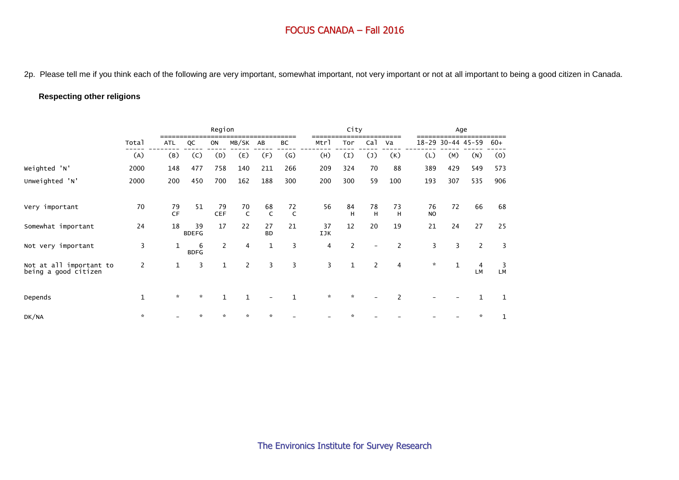2p. Please tell me if you think each of the following are very important, somewhat important, not very important or not at all important to being a good citizen in Canada.

## **Respecting other religions**

|                                                 |                |                 |                    | Region           |                    |                 |              |           | City             |                          |                |                      |              | Age                  |              |
|-------------------------------------------------|----------------|-----------------|--------------------|------------------|--------------------|-----------------|--------------|-----------|------------------|--------------------------|----------------|----------------------|--------------|----------------------|--------------|
|                                                 | Total          | <b>ATL</b>      | QC                 | ON               | MB/SK              | AB              | BC           | Mtrl      | Tor              | Ca <sub>1</sub>          | Va             |                      |              | 18-29 30-44 45-59    | $60+$        |
|                                                 | (A)            | (B)             | (C)                | (D)              | (E)                | (F)             | (G)          | (H)       | $\left(1\right)$ | $(\mathsf{J})$           | (K)            | (L)                  | (M)          | (N)                  | (0)          |
| Weighted 'N'                                    | 2000           | 148             | 477                | 758              | 140                | 211             | 266          | 209       | 324              | 70                       | 88             | 389                  | 429          | 549                  | 573          |
| Unweighted 'N'                                  | 2000           | 200             | 450                | 700              | 162                | 188             | 300          | 200       | 300              | 59                       | 100            | 193                  | 307          | 535                  | 906          |
| Very important                                  | 70             | 79<br><b>CF</b> | 51                 | 79<br><b>CEF</b> | 70<br>$\mathsf{C}$ | 68<br>C         | 72           | 56        | 84<br>H          | 78<br>H                  | 73<br>H        | 76<br>N <sub>O</sub> | 72           | 66                   | 68           |
| Somewhat important                              | 24             | 18              | 39<br><b>BDEFG</b> | 17               | 22                 | 27<br><b>BD</b> | 21           | 37<br>IJK | 12               | 20                       | 19             | 21                   | 24           | 27                   | 25           |
| Not very important                              | 3              | 1               | 6<br><b>BDFG</b>   | $\mathbf{2}$     | 4                  | 1               | 3            | 4         | $\overline{2}$   | $\overline{\phantom{m}}$ | $\overline{2}$ | 3                    | 3            | $\overline{2}$       | 3            |
| Not at all important to<br>being a good citizen | $\overline{c}$ | $\mathbf{1}$    | 3                  | $\mathbf{1}$     | $\overline{2}$     | 3               | 3            | 3         | $\mathbf{1}$     | 2                        | $\overline{4}$ | $\mathbf{x}$         | $\mathbf{1}$ | $\overline{4}$<br>LM | 3<br>LM      |
| Depends                                         | $\mathbf 1$    | $\mathcal{R}$   | $\mathcal{R}$      | $\mathbf{1}$     | $\mathbf{1}$       |                 | $\mathbf{1}$ | $\star$   | $\star$          |                          | 2              |                      |              | $\mathbf{1}$         | 1            |
| DK/NA                                           | $\mathcal{R}$  |                 | $\star$            | ÷.               | $\star$            | $\star$         |              |           |                  |                          |                |                      |              | $\star$              | $\mathbf{1}$ |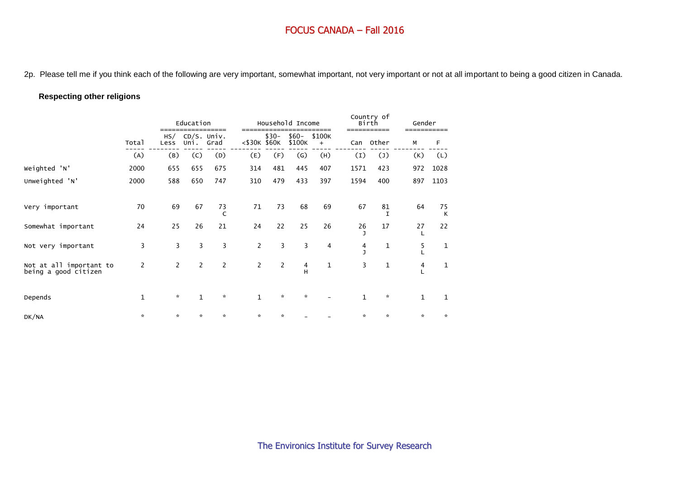2p. Please tell me if you think each of the following are very important, somewhat important, not very important or not at all important to being a good citizen in Canada.

## **Respecting other religions**

|                                                 |              |                | Education    |                     |                |         | Household Income  |               |              | Country of<br>Birth  | Gender       |         |
|-------------------------------------------------|--------------|----------------|--------------|---------------------|----------------|---------|-------------------|---------------|--------------|----------------------|--------------|---------|
|                                                 | Total        | HS/<br>Less    | Uni.         | CD/S. Univ.<br>Grad | <\$30K \$60K   | $$30-$  | $$60-$<br>\$100K  | \$100K<br>$+$ | Can          | Other                | M            | F       |
|                                                 | (A)          | (B)            | (C)          | (D)                 | (E)            | (F)     | $\left( G\right)$ | (H)           | (I)          | $(\mathsf{J})$       | (K)          | (L)     |
| Weighted 'N'                                    | 2000         | 655            | 655          | 675                 | 314            | 481     | 445               | 407           | 1571         | 423                  | 972          | 1028    |
| Unweighted 'N'                                  | 2000         | 588            | 650          | 747                 | 310            | 479     | 433               | 397           | 1594         | 400                  | 897          | 1103    |
| Very important                                  | 70           | 69             | 67           | 73<br>$\epsilon$    | 71             | 73      | 68                | 69            | 67           | 81<br>$\mathsf{T}$   | 64           | 75<br>К |
| Somewhat important                              | 24           | 25             | 26           | 21                  | 24             | 22      | 25                | 26            | 26           | 17                   | 27           | 22      |
| Not very important                              | 3            | 3              | 3            | 3                   | $\overline{2}$ | 3       | 3                 | 4             | 4<br>п       | 1                    | 5            | 1       |
| Not at all important to<br>being a good citizen | 2            | $\overline{2}$ | 2            | 2                   | 2              | 2       | 4<br>H.           | 1             | 3            | $\mathbf 1$          | 4            | 1       |
| Depends                                         | $\mathbf{1}$ | $\mathcal{R}$  | $\mathbf{1}$ | $\mathcal{R}$       | $\mathbf{1}$   | $\star$ | $\mathcal{R}$     |               | $\mathbf{1}$ | $\boldsymbol{\star}$ | $\mathbf{1}$ | 1       |
| DK/NA                                           | $\star$      | $\star$        | *            | $\star$             | ×.             | $\star$ |                   |               | $\star$      | ×.                   | $\star$      | $\star$ |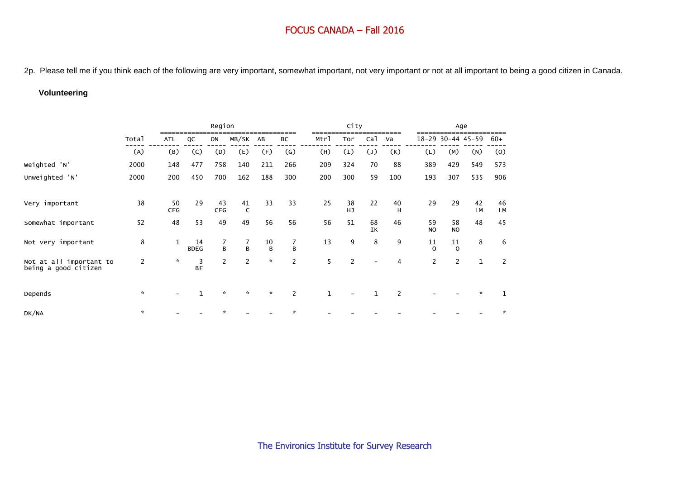2p. Please tell me if you think each of the following are very important, somewhat important, not very important or not at all important to being a good citizen in Canada.

## **Volunteering**

|                                                 |                |                  |                   | Region         |                     |               |                     |              | City             |                 |                |                      |                 | Age               |          |
|-------------------------------------------------|----------------|------------------|-------------------|----------------|---------------------|---------------|---------------------|--------------|------------------|-----------------|----------------|----------------------|-----------------|-------------------|----------|
|                                                 | Total          | ATL              | QC                | ON             | MB/SK               | AB            | BC                  | Mtrl         | Tor              | Ca <sup>1</sup> | Va             |                      |                 | 18-29 30-44 45-59 | $60+$    |
|                                                 | (A)            | (B)              | (C)               | (D)            | (E)                 | (F)           | (G)                 | (H)          | $\left(1\right)$ | $(\mathsf{J})$  | (K)            | (L)                  | (M)             | (N)               | (0)      |
| Weighted 'N'                                    | 2000           | 148              | 477               | 758            | 140                 | 211           | 266                 | 209          | 324              | 70              | 88             | 389                  | 429             | 549               | 573      |
| Unweighted 'N'                                  | 2000           | 200              | 450               | 700            | 162                 | 188           | 300                 | 200          | 300              | 59              | 100            | 193                  | 307             | 535               | 906      |
| Very important                                  | 38             | 50<br><b>CFG</b> | 29                | 43<br>CFG      | 41<br>$\mathsf{C}$  | 33            | 33                  | 25           | 38<br><b>HJ</b>  | 22              | 40<br>H        | 29                   | 29              | 42<br>LM          | 46<br>LM |
| Somewhat important                              | 52             | 48               | 53                | 49             | 49                  | 56            | 56                  | 56           | 51               | 68<br>IK        | 46             | 59<br>N <sub>O</sub> | 58<br><b>NO</b> | 48                | 45       |
| Not very important                              | 8              | $\mathbf{1}$     | 14<br><b>BDEG</b> | 7<br>B         | $\overline{7}$<br>B | 10<br>B       | $\overline{7}$<br>B | 13           | 9                | 8               | 9              | 11<br>$\Omega$       | 11<br>$\Omega$  | 8                 | 6        |
| Not at all important to<br>being a good citizen | $\overline{2}$ | $\mathcal{R}$    | 3<br><b>BF</b>    | $\overline{2}$ | $\overline{2}$      | $\mathbf{x}$  | $\overline{2}$      | 5            | $\overline{2}$   |                 | 4              | $\overline{2}$       | $\overline{2}$  | $\mathbf 1$       | 2        |
| Depends                                         | $\star$        |                  | $\mathbf{1}$      | $\mathcal{R}$  | $\mathbf{x}$        | $\mathcal{R}$ | $\overline{2}$      | $\mathbf{1}$ |                  | $\mathbf{1}$    | $\overline{2}$ |                      |                 | $\star$           | 1        |
| DK/NA                                           | $\mathcal{R}$  |                  |                   |                |                     |               |                     |              |                  |                 |                |                      |                 |                   | ☆        |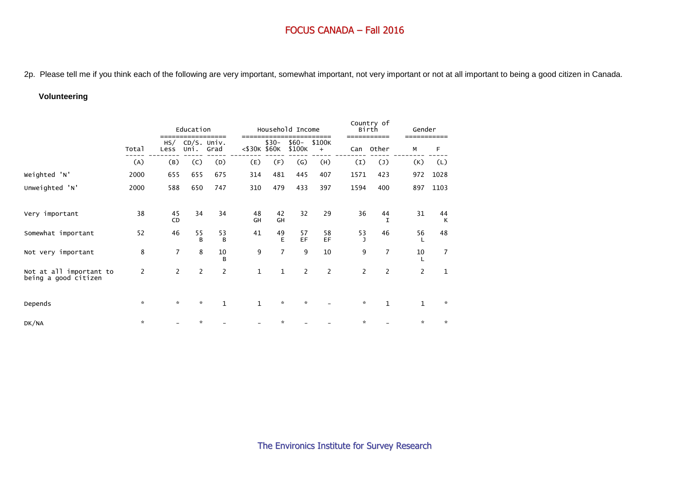2p. Please tell me if you think each of the following are very important, somewhat important, not very important or not at all important to being a good citizen in Canada.

#### **Volunteering**

|                                                 |                |                | Education                 |                |                 |                | Household Income  |                             |                | Country of<br>Birth | Gender         |              |
|-------------------------------------------------|----------------|----------------|---------------------------|----------------|-----------------|----------------|-------------------|-----------------------------|----------------|---------------------|----------------|--------------|
|                                                 | Total          | Less           | $HS/$ CD/S. Univ.<br>Uni. | ======<br>Grad | $<$ \$30K \$60K | $$30-$         | $$60-$<br>\$100K  | ====<br>\$100K<br>$\ddot{}$ | Can            | ======<br>Other     | М              | F            |
|                                                 | (A)            | (B)            | (C)                       | (D)            | (E)             | (F)            | $\left( G\right)$ | (H)                         | (I)            | $(\mathsf{J})$      | (K)            | (L)          |
| Weighted 'N'                                    | 2000           | 655            | 655                       | 675            | 314             | 481            | 445               | 407                         | 1571           | 423                 | 972            | 1028         |
| Unweighted 'N'                                  | 2000           | 588            | 650                       | 747            | 310             | 479            | 433               | 397                         | 1594           | 400                 | 897            | 1103         |
| Very important                                  | 38             | 45<br>CD       | 34                        | 34             | 48<br>GH        | 42<br>GH       | 32                | 29                          | 36             | 44<br>$\mathbf T$   | 31             | 44<br>K      |
| Somewhat important                              | 52             | 46             | 55<br>B                   | 53<br>B        | 41              | 49<br>Е        | 57<br>EF          | 58<br>EF                    | 53             | 46                  | 56             | 48           |
| Not very important                              | 8              | $\overline{7}$ | 8                         | 10<br>B        | 9               | $\overline{7}$ | 9                 | 10                          | 9              | $\overline{7}$      | 10             | 7            |
| Not at all important to<br>being a good citizen | $\overline{2}$ | $\overline{2}$ | $\overline{2}$            | 2              | 1               | $\mathbf{1}$   | $\overline{2}$    | $\overline{2}$              | $\overline{2}$ | $\overline{c}$      | $\overline{2}$ | $\mathbf{1}$ |
| Depends                                         | $\star$        | $\mathcal{R}$  | $\star$                   | $\mathbf{1}$   | $\mathbf{1}$    | $\star$        | $\star$           |                             | $\star$        | $\mathbf{1}$        | $\mathbf{1}$   | ☆            |
| DK/NA                                           | $\star$        |                | ×.                        |                |                 | ×.             |                   |                             | $\star$        |                     | *              | $\star$      |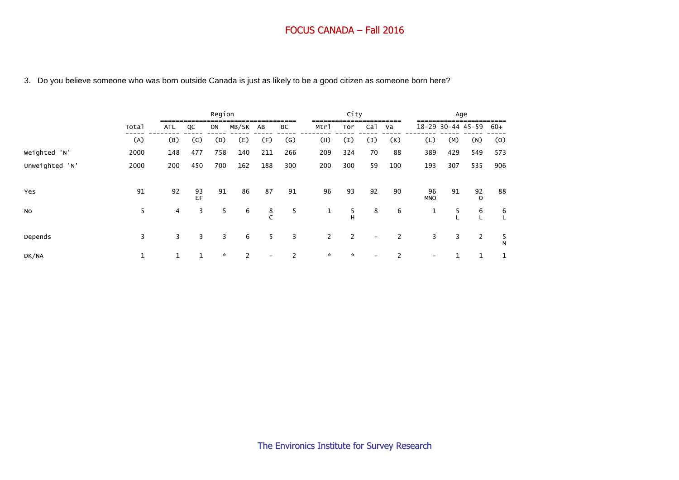## 3. Do you believe someone who was born outside Canada is just as likely to be a good citizen as someone born here?

|                |       |            |              | Region  |       |                          |                   |                       | City          |                          |     |                          |             | Age            |              |
|----------------|-------|------------|--------------|---------|-------|--------------------------|-------------------|-----------------------|---------------|--------------------------|-----|--------------------------|-------------|----------------|--------------|
|                | Total | <b>ATL</b> | QC           | ON      | MB/SK | AB                       | BC                | Mtrl                  | Tor           | Ca <sub>1</sub>          | Va  | 18-29                    | 30-44 45-59 |                | $60+$        |
|                | (A)   | (B)        | (C)          | (D)     | (E)   | (F)                      | $\left( G\right)$ | (H)                   | (I)           | $(\mathsf{J})$           | (K) | (L)                      | (M)         | (N)            | (0)          |
| Weighted 'N'   | 2000  | 148        | 477          | 758     | 140   | 211                      | 266               | 209                   | 324           | 70                       | 88  | 389                      | 429         | 549            | 573          |
| Unweighted 'N' | 2000  | 200        | 450          | 700     | 162   | 188                      | 300               | 200                   | 300           | 59                       | 100 | 193                      | 307         | 535            | 906          |
| Yes            | 91    | 92         | 93<br>EF     | 91      | 86    | 87                       | 91                | 96                    | 93            | 92                       | 90  | 96<br><b>MNO</b>         | 91          | 92<br>$\Omega$ | 88           |
| <b>NO</b>      | 5     | 4          | 3            | 5       | 6     | 8<br>C                   | 5                 | $\mathbf{1}$          | 5<br>н        | 8                        | 6   | 1                        | 5           | 6              | 6            |
| Depends        | 3     | 3          | 3            | 3       | 6     | 5                        | 3                 | $\mathbf{2}^{\prime}$ | 2             | $\overline{\phantom{a}}$ | 2   | 3                        | 3           | 2              | 5<br>N       |
| DK/NA          | 1     | 1          | $\mathbf{1}$ | $\star$ | 2     | $\overline{\phantom{a}}$ | 2                 | $\mathcal{R}$         | $\mathcal{R}$ | $\overline{\phantom{a}}$ | 2   | $\overline{\phantom{a}}$ |             | 1              | $\mathbf{1}$ |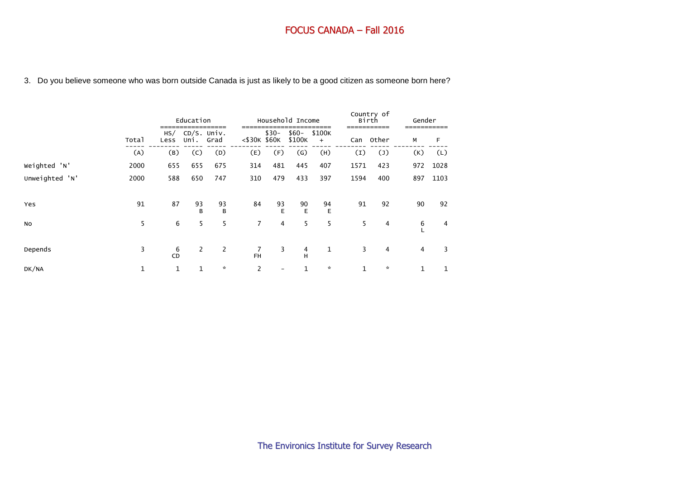|  |  |  |  |  | 3. Do you believe someone who was born outside Canada is just as likely to be a good citizen as someone born here? |
|--|--|--|--|--|--------------------------------------------------------------------------------------------------------------------|
|--|--|--|--|--|--------------------------------------------------------------------------------------------------------------------|

|                |             |             | Education           |                      |                |         | Household Income  |               |                  | Country of<br>Birth<br>------------ | Gender |      |
|----------------|-------------|-------------|---------------------|----------------------|----------------|---------|-------------------|---------------|------------------|-------------------------------------|--------|------|
|                | Total       | HS/<br>Less | CD/S. Univ.<br>Uni. | Grad                 | <\$30K \$60K   | $$30-$  | $$60-$<br>\$100K  | \$100K<br>$+$ | Can              | Other                               | М      | F    |
|                | (A)         | (B)         | (C)                 | (D)                  | (E)            | (F)     | $\left( G\right)$ | (H)           | $\left(1\right)$ | $(\mathsf{J})$                      | (K)    | (L)  |
| Weighted 'N'   | 2000        | 655         | 655                 | 675                  | 314            | 481     | 445               | 407           | 1571             | 423                                 | 972    | 1028 |
| Unweighted 'N' | 2000        | 588         | 650                 | 747                  | 310            | 479     | 433               | 397           | 1594             | 400                                 | 897    | 1103 |
| Yes            | 91          | 87          | 93<br>B             | 93<br>$\overline{B}$ | 84             | 93<br>E | 90<br>E           | 94<br>E       | 91               | 92                                  | 90     | 92   |
| No             | 5           | 6           | 5                   | 5                    | $\overline{7}$ | 4       | 5                 | 5             | 5                | 4                                   | 6      | 4    |
| Depends        | 3           | 6<br>CD     | $\overline{2}$      | $\mathbf{2}$         | 7<br><b>FH</b> | 3       | 4<br>н            | 1             | 3                | $\overline{4}$                      | 4      | 3    |
| DK/NA          | $\mathbf 1$ | 1           | 1                   | $\mathcal{R}$        | $\overline{2}$ |         | 1                 | $\mathcal{R}$ | $\mathbf{1}$     | $\mathcal{R}$                       | 1      | 1    |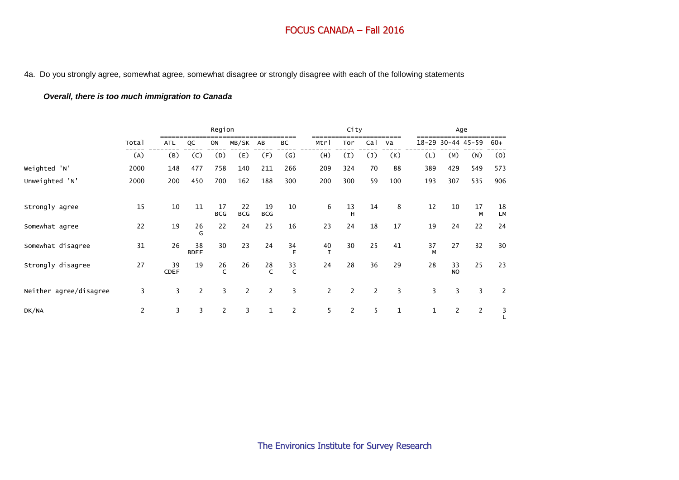#### 4a. Do you strongly agree, somewhat agree, somewhat disagree or strongly disagree with each of the following statements

## *Overall, there is too much immigration to Canada*

|                        |       |                   |                   | Region             |                  |                    |                |                    | City             |                 |              |              |                       | Age               |                |
|------------------------|-------|-------------------|-------------------|--------------------|------------------|--------------------|----------------|--------------------|------------------|-----------------|--------------|--------------|-----------------------|-------------------|----------------|
|                        | Total | <b>ATL</b>        | QC                | ON                 | MB/SK            | AB                 | BC             | Mtrl               | Tor              | Ca <sub>1</sub> | Va           |              |                       | 18-29 30-44 45-59 | $60+$          |
|                        | (A)   | (B)               | (C)               | (D)                | (E)              | (F)                | (G)            | (H)                | $\left(1\right)$ | $(\mathsf{J})$  | (K)          | (L)          | (M)                   | (N)               | (0)            |
| Weighted 'N'           | 2000  | 148               | 477               | 758                | 140              | 211                | 266            | 209                | 324              | 70              | 88           | 389          | 429                   | 549               | 573            |
| Unweighted 'N'         | 2000  | 200               | 450               | 700                | 162              | 188                | 300            | 200                | 300              | 59              | 100          | 193          | 307                   | 535               | 906            |
| Strongly agree         | 15    | 10                | 11                | 17<br><b>BCG</b>   | 22<br><b>BCG</b> | 19<br><b>BCG</b>   | 10             | 6                  | 13<br>H          | 14              | 8            | 12           | 10                    | 17<br>M           | 18<br>LM       |
| Somewhat agree         | 22    | 19                | 26<br>G           | 22                 | 24               | 25                 | 16             | 23                 | 24               | 18              | 17           | 19           | 24                    | 22                | 24             |
| Somewhat disagree      | 31    | 26                | 38<br><b>BDEF</b> | 30                 | 23               | 24                 | 34<br>E        | 40<br>$\mathsf{T}$ | 30               | 25              | 41           | 37<br>M      | 27                    | 32                | 30             |
| Strongly disagree      | 27    | 39<br><b>CDEF</b> | 19                | 26<br>$\mathsf{C}$ | 26               | 28<br>$\mathsf{C}$ | $rac{33}{C}$   | 24                 | 28               | 36              | 29           | 28           | 33<br><b>NO</b>       | 25                | 23             |
| Neither agree/disagree | 3     | 3                 | $\overline{2}$    | 3                  | $\overline{2}$   | $\overline{2}$     | 3              | $\overline{2}$     | 2                | $\overline{2}$  | 3            | 3            | 3                     | 3                 | $\overline{2}$ |
| DK/NA                  | 2     | 3                 | 3                 | $\mathbf{2}$       | 3                | $\mathbf 1$        | $\overline{2}$ | 5                  | $\mathbf{2}$     | 5               | $\mathbf{1}$ | $\mathbf{1}$ | $\mathbf{2}^{\prime}$ | $\overline{2}$    | 3              |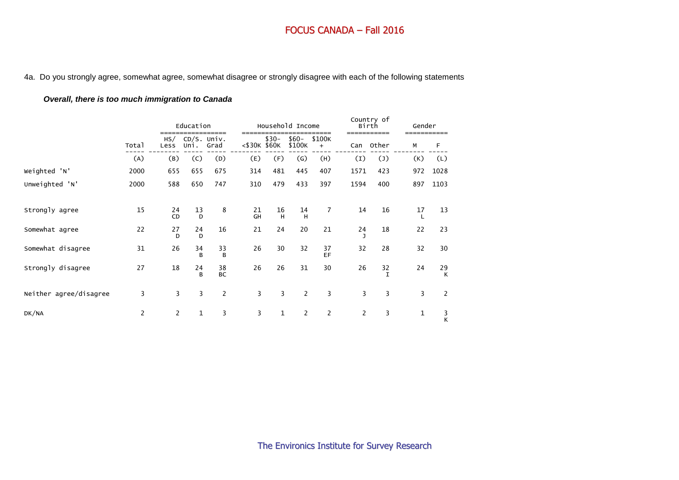#### 4a. Do you strongly agree, somewhat agree, somewhat disagree or strongly disagree with each of the following statements

## *Overall, there is too much immigration to Canada*

|                        |                |                 | Education<br>-----<br>CD/S. Univ. |                 | -----        |              | Household Income  | ----                |                  | Country of<br>Birth<br>------------ | Gender<br>------------ |                    |
|------------------------|----------------|-----------------|-----------------------------------|-----------------|--------------|--------------|-------------------|---------------------|------------------|-------------------------------------|------------------------|--------------------|
|                        | Total          | HS/<br>Less     | Uni.                              | Grad            | <\$30K \$60K | $$30-$       | $$60-$<br>\$100K  | \$100K<br>$\ddot{}$ | Can              | Other                               | М                      | F                  |
|                        | (A)            | (B)             | (C)                               | (D)             | (E)          | (F)          | $\left( G\right)$ | (H)                 | $\left(1\right)$ | $(\mathsf{J})$                      | (K)                    | (L)                |
| Weighted 'N'           | 2000           | 655             | 655                               | 675             | 314          | 481          | 445               | 407                 | 1571             | 423                                 | 972                    | 1028               |
| Unweighted 'N'         | 2000           | 588             | 650                               | 747             | 310          | 479          | 433               | 397                 | 1594             | 400                                 | 897                    | 1103               |
| Strongly agree         | 15             | 24<br><b>CD</b> | 13<br>D                           | 8               | 21<br>GH     | 16<br>H      | 14<br>H           | 7                   | 14               | 16                                  | 17                     | 13                 |
| Somewhat agree         | 22             | 27<br>D         | 24<br>D                           | 16              | 21           | 24           | 20                | 21                  | 24               | 18                                  | 22                     | 23                 |
| Somewhat disagree      | 31             | 26              | 34<br><sub>R</sub>                | 33<br>B         | 26           | 30           | 32                | 37<br>EF            | 32               | 28                                  | 32                     | 30                 |
| Strongly disagree      | 27             | 18              | 24<br>R                           | 38<br><b>BC</b> | 26           | 26           | 31                | 30                  | 26               | 32<br>$\mathsf{T}$                  | 24                     | 29<br>$\mathsf{K}$ |
| Neither agree/disagree | 3              | 3               | 3                                 | $\overline{c}$  | 3            | 3            | $\overline{2}$    | 3                   | 3                | 3                                   | 3                      | 2                  |
| DK/NA                  | $\overline{2}$ | $\overline{2}$  | $\mathbf{1}$                      | 3               | 3            | $\mathbf{1}$ | $\overline{2}$    | $\overline{2}$      | 2                | 3                                   | $\mathbf{1}$           | $\frac{3}{K}$      |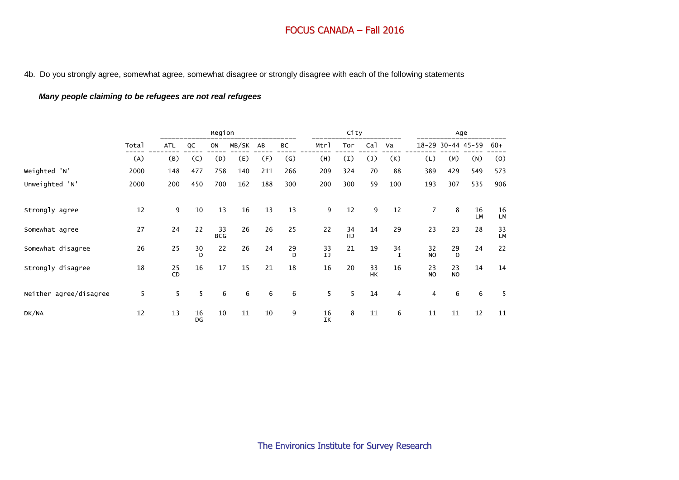4b. Do you strongly agree, somewhat agree, somewhat disagree or strongly disagree with each of the following statements

## *Many people claiming to be refugees are not real refugees*

|                        |       |            |          | Region           |       |     |                   |          | City     |                 |          |                      |                   | Age      |                 |
|------------------------|-------|------------|----------|------------------|-------|-----|-------------------|----------|----------|-----------------|----------|----------------------|-------------------|----------|-----------------|
|                        | Total | <b>ATL</b> | QC       | ON               | MB/SK | AB  | ВC                | Mtrl     | Tor      | Ca <sup>1</sup> | Va       |                      | 18-29 30-44 45-59 |          | $60+$           |
|                        | (A)   | (B)        | (C)      | (D)              | (E)   | (F) | $\left( G\right)$ | (H)      | (I)      | $(\mathsf{J})$  | (K)      | (L)                  | (M)               | (N)      | (0)             |
| Weighted 'N'           | 2000  | 148        | 477      | 758              | 140   | 211 | 266               | 209      | 324      | 70              | 88       | 389                  | 429               | 549      | 573             |
| Unweighted 'N'         | 2000  | 200        | 450      | 700              | 162   | 188 | 300               | 200      | 300      | 59              | 100      | 193                  | 307               | 535      | 906             |
| Strongly agree         | 12    | 9          | 10       | 13               | 16    | 13  | 13                | 9        | 12       | 9               | 12       | $\overline{7}$       | 8                 | 16<br>LM | 16<br><b>LM</b> |
| Somewhat agree         | 27    | 24         | 22       | 33<br><b>BCG</b> | 26    | 26  | 25                | 22       | 34<br>HJ | 14              | 29       | 23                   | 23                | 28       | 33<br><b>LM</b> |
| Somewhat disagree      | 26    | 25         | 30<br>D  | 22               | 26    | 24  | 29<br>D           | 33<br>IJ | 21       | 19              | 34<br>T. | 32<br>N <sub>O</sub> | 29<br>$\Omega$    | 24       | 22              |
| Strongly disagree      | 18    | 25<br>CD   | 16       | 17               | 15    | 21  | 18                | 16       | 20       | 33<br><b>HK</b> | 16       | 23<br>N <sub>O</sub> | 23<br><b>NO</b>   | 14       | 14              |
| Neither agree/disagree | 5     | 5          | 5        | 6                | 6     | 6   | 6                 | 5        | 5        | 14              | 4        | 4                    | 6                 | 6        | 5               |
| DK/NA                  | 12    | 13         | 16<br>DG | 10               | 11    | 10  | 9                 | 16<br>IK | 8        | 11              | 6        | 11                   | 11                | 12       | 11              |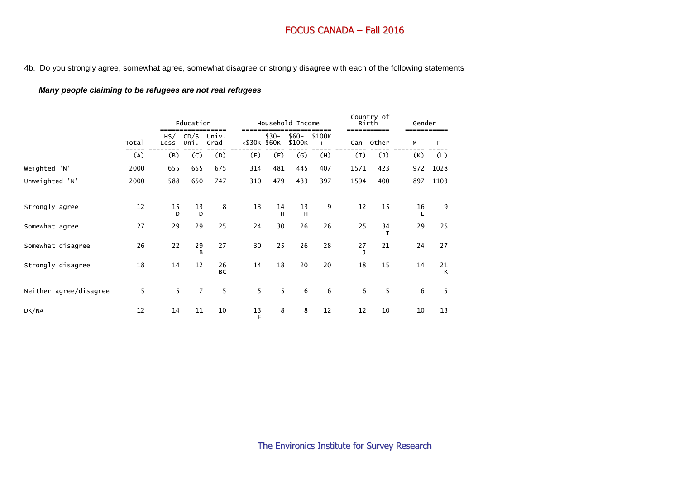4b. Do you strongly agree, somewhat agree, somewhat disagree or strongly disagree with each of the following statements

#### *Many people claiming to be refugees are not real refugees*

|                        |       |                    | Education             |                 |                | Household Income |                   |                     |      | Country of<br>Birth | Gender |         |
|------------------------|-------|--------------------|-----------------------|-----------------|----------------|------------------|-------------------|---------------------|------|---------------------|--------|---------|
|                        | Total | HS/<br>Less        | $CD/S.$ Univ.<br>Uni. | Grad            | <\$30K \$60K   | $$30-$           | $$60-$<br>\$100K  | \$100K<br>$\ddot{}$ | Can  | Other               | М      | F       |
|                        | (A)   | (B)                | (C)                   | (D)             | (E)            | (F)              | $\left( G\right)$ | (H)                 | (I)  | $(\mathsf{J})$      | (K)    | (L)     |
| Weighted 'N'           | 2000  | 655                | 655                   | 675             | 314            | 481              | 445               | 407                 | 1571 | 423                 | 972    | 1028    |
| Unweighted 'N'         | 2000  | 588                | 650                   | 747             | 310            | 479              | 433               | 397                 | 1594 | 400                 | 897    | 1103    |
| Strongly agree         | 12    | 15<br>$\mathsf{D}$ | 13<br>D               | 8               | 13             | 14<br>H          | 13<br>H           | 9                   | 12   | 15                  | 16     | 9       |
| Somewhat agree         | 27    | 29                 | 29                    | 25              | 24             | 30               | 26                | 26                  | 25   | 34<br>T             | 29     | 25      |
| Somewhat disagree      | 26    | 22                 | 29<br>B               | 27              | 30             | 25               | 26                | 28                  | 27   | 21                  | 24     | 27      |
| Strongly disagree      | 18    | 14                 | 12                    | 26<br><b>BC</b> | 14             | 18               | 20                | 20                  | 18   | 15                  | 14     | 21<br>K |
| Neither agree/disagree | 5     | 5                  | $\overline{7}$        | 5               | 5              | 5                | 6                 | 6                   | 6    | 5                   | 6      | 5       |
| DK/NA                  | 12    | 14                 | 11                    | 10              | $\frac{13}{F}$ | 8                | 8                 | 12                  | 12   | 10                  | 10     | 13      |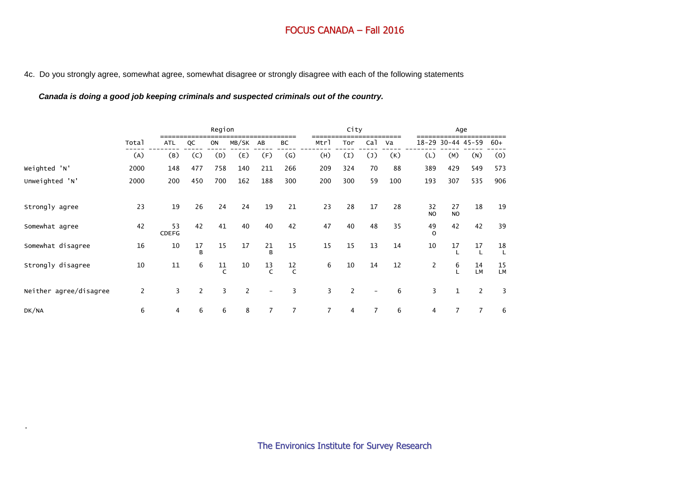#### 4c. Do you strongly agree, somewhat agree, somewhat disagree or strongly disagree with each of the following statements

## *Canada is doing a good job keeping criminals and suspected criminals out of the country.*

.

|                        |                |                    |                | Region             |                |                          |                |                | City             |                          |     |                 |                 | Age               |                    |
|------------------------|----------------|--------------------|----------------|--------------------|----------------|--------------------------|----------------|----------------|------------------|--------------------------|-----|-----------------|-----------------|-------------------|--------------------|
|                        | Total          | ATL                | QC             | ON                 | MB/SK          | AB                       | ВC             | Mtrl           | Tor              | Ca1                      | Va  |                 |                 | 18-29 30-44 45-59 | 60+                |
|                        | (A)            | (B)                | (C)            | (D)                | (E)            | (F)                      | (G)            | (H)            | $\left(1\right)$ | $(\mathsf{J})$           | (K) | (L)             | (M)             | (N)               | (0)                |
| Weighted 'N'           | 2000           | 148                | 477            | 758                | 140            | 211                      | 266            | 209            | 324              | 70                       | 88  | 389             | 429             | 549               | 573                |
| Unweighted 'N'         | 2000           | 200                | 450            | 700                | 162            | 188                      | 300            | 200            | 300              | 59                       | 100 | 193             | 307             | 535               | 906                |
|                        |                |                    |                |                    |                |                          |                |                |                  |                          |     |                 |                 |                   |                    |
| Strongly agree         | 23             | 19                 | 26             | 24                 | 24             | 19                       | 21             | 23             | 28               | 17                       | 28  | 32<br><b>NO</b> | 27<br><b>NO</b> | 18                | 19                 |
| Somewhat agree         | 42             | 53<br><b>CDEFG</b> | 42             | 41                 | 40             | 40                       | 42             | 47             | 40               | 48                       | 35  | 49<br>$\Omega$  | 42              | 42                | 39                 |
| Somewhat disagree      | 16             | 10                 | 17<br>B        | 15                 | 17             | 21<br>B                  | 15             | 15             | 15               | 13                       | 14  | 10              | 17              | 17                | 18<br>$\mathbf{I}$ |
| Strongly disagree      | 10             | 11                 | 6              | 11<br>$\mathsf{C}$ | 10             | 13<br>$\epsilon$         | 12<br>C        | 6              | 10               | 14                       | 12  | $\overline{c}$  | 6               | 14<br>LM          | 15<br><b>LM</b>    |
| Neither agree/disagree | $\overline{2}$ | 3                  | $\overline{2}$ | 3                  | $\overline{2}$ | $\overline{\phantom{a}}$ | 3              | 3              | 2                | $\overline{\phantom{0}}$ | 6   | 3               | $\mathbf{1}$    | 2                 | 3                  |
| DK/NA                  | 6              | 4                  | 6              | 6                  | 8              | $\overline{7}$           | $\overline{7}$ | $\overline{7}$ | 4                | $\overline{7}$           | 6   | 4               | $\overline{7}$  | $\overline{7}$    | 6                  |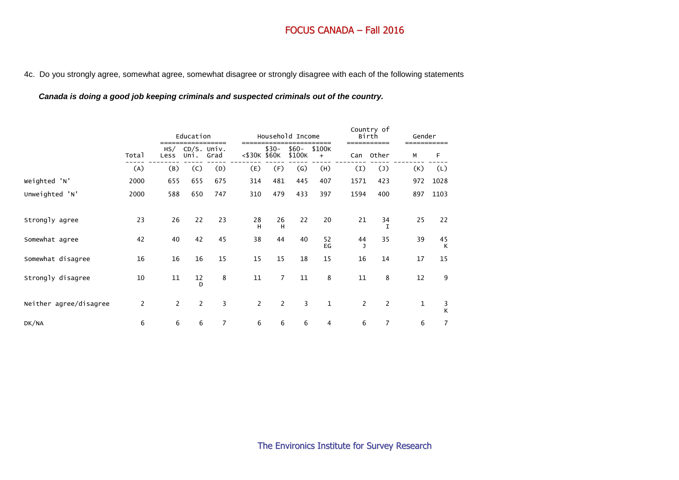4c. Do you strongly agree, somewhat agree, somewhat disagree or strongly disagree with each of the following statements

*Canada is doing a good job keeping criminals and suspected criminals out of the country.*

|                        |                |             | Education           |              |                |                | Household Income |                            |                | Country of<br>Birth<br>------- | Gender |                |
|------------------------|----------------|-------------|---------------------|--------------|----------------|----------------|------------------|----------------------------|----------------|--------------------------------|--------|----------------|
|                        | Total          | HS/<br>Less | CD/S. Univ.<br>Uni. | ====<br>Grad | <\$30K \$60K   | $$30-$         | $$60-$<br>\$100K | ===<br>\$100K<br>$\ddot{}$ | Can            | Other                          | М      | F              |
|                        | (A)            | (B)         | (C)                 | (D)          | (E)            | (F)            | $\mathsf{(G)}$   | (H)                        | $\mathbf{I}$   | $(\mathsf{J})$                 | (K)    | (L)            |
| Weighted 'N'           | 2000           | 655         | 655                 | 675          | 314            | 481            | 445              | 407                        | 1571           | 423                            | 972    | 1028           |
| Unweighted 'N'         | 2000           | 588         | 650                 | 747          | 310            | 479            | 433              | 397                        | 1594           | 400                            | 897    | 1103           |
| Strongly agree         | 23             | 26          | 22                  | 23           | 28<br>н        | 26<br>H        | 22               | 20                         | 21             | 34<br>$\mathsf{T}$             | 25     | 22             |
| Somewhat agree         | 42             | 40          | 42                  | 45           | 38             | 44             | 40               | 52<br>EG                   | 44<br>J        | 35                             | 39     | 45<br>К        |
| Somewhat disagree      | 16             | 16          | 16                  | 15           | 15             | 15             | 18               | 15                         | 16             | 14                             | 17     | 15             |
| Strongly disagree      | 10             | 11          | 12<br>D             | 8            | 11             | $\overline{7}$ | 11               | 8                          | 11             | 8                              | 12     | 9              |
| Neither agree/disagree | $\overline{2}$ | 2           | 2                   | 3            | $\overline{2}$ | 2              | 3                | $\mathbf{1}$               | $\overline{2}$ | $\overline{c}$                 | 1      | 3<br>K         |
| DK/NA                  | 6              | 6           | 6                   | 7            | 6              | 6              | 6                | 4                          | 6              | $\overline{7}$                 | 6      | $\overline{7}$ |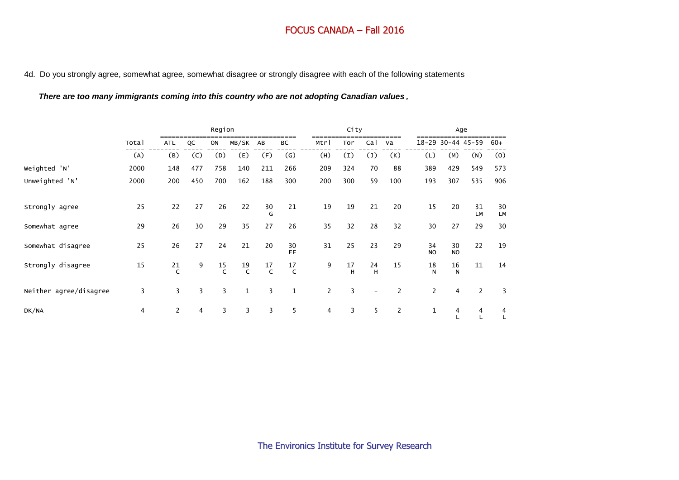4d. Do you strongly agree, somewhat agree, somewhat disagree or strongly disagree with each of the following statements

*There are too many immigrants coming into this country who are not adopting Canadian values*.

|                        |       |                |     | Region         |                |                |                    |                | City             |                 |     |                      |                    | Age               |          |
|------------------------|-------|----------------|-----|----------------|----------------|----------------|--------------------|----------------|------------------|-----------------|-----|----------------------|--------------------|-------------------|----------|
|                        | Total | <b>ATL</b>     | QC  | ON             | MB/SK          | AB             | BC                 | Mtrl           | Tor              | Ca <sub>1</sub> | Va  |                      |                    | 18-29 30-44 45-59 | $60+$    |
|                        | (A)   | (B)            | (C) | (D)            | (E)            | (F)            | $\left( G\right)$  | (H)            | $\left(1\right)$ | $(\mathsf{J})$  | (K) | (L)                  | (M)                | (N)               | (0)      |
| Weighted 'N'           | 2000  | 148            | 477 | 758            | 140            | 211            | 266                | 209            | 324              | 70              | 88  | 389                  | 429                | 549               | 573      |
| Unweighted 'N'         | 2000  | 200            | 450 | 700            | 162            | 188            | 300                | 200            | 300              | 59              | 100 | 193                  | 307                | 535               | 906      |
| Strongly agree         | 25    | 22             | 27  | 26             | 22             | 30<br>G        | 21                 | 19             | 19               | 21              | 20  | 15                   | 20                 | 31<br>LM          | 30<br>LM |
| Somewhat agree         | 29    | 26             | 30  | 29             | 35             | 27             | 26                 | 35             | 32               | 28              | 32  | 30                   | 27                 | 29                | 30       |
| Somewhat disagree      | 25    | 26             | 27  | 24             | 21             | 20             | 30<br>EF.          | 31             | 25               | 23              | 29  | 34<br>N <sub>O</sub> | 30<br><b>NO</b>    | 22                | 19       |
| Strongly disagree      | 15    | 21             | 9   | $\frac{15}{C}$ | $\frac{19}{C}$ | $\frac{17}{C}$ | 17<br>$\mathsf{C}$ | 9              | 17<br>H          | 24<br>H         | 15  | 18<br>N              | 16<br>$\mathsf{N}$ | 11                | 14       |
| Neither agree/disagree | 3     | 3              | 3   | 3              | $\mathbf{1}$   | 3              | $\mathbf{1}$       | $\overline{2}$ | 3                |                 | 2   | $\overline{c}$       | 4                  | 2                 | 3        |
| DK/NA                  | 4     | $\overline{2}$ | 4   | 3              | 3              | 3              | 5                  | 4              | 3                | 5               | 2   | $\mathbf 1$          | 4                  | 4                 | 4        |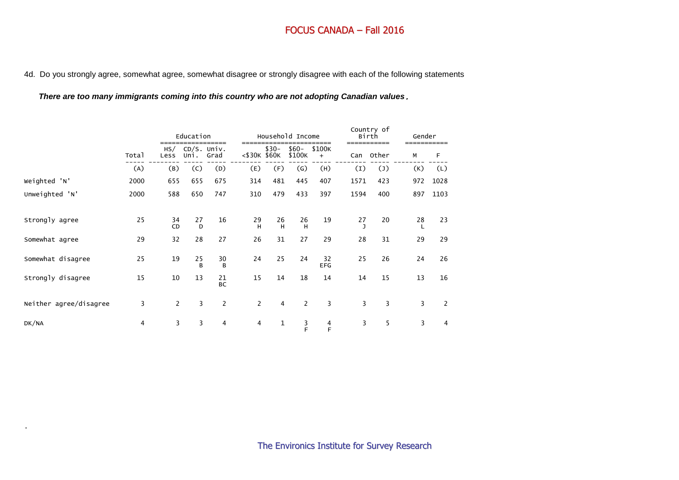4d. Do you strongly agree, somewhat agree, somewhat disagree or strongly disagree with each of the following statements

*There are too many immigrants coming into this country who are not adopting Canadian values*.

|                        |       |                | Education               | =====           |                |                | Household Income  | ====             |      | Country of<br>Birth<br>=========== | Gender |      |
|------------------------|-------|----------------|-------------------------|-----------------|----------------|----------------|-------------------|------------------|------|------------------------------------|--------|------|
|                        | Total | Less           | HS/ CD/S. Univ.<br>Uni. | Grad            | <\$30K \$60K   | $$30-$         | $$60-$<br>\$100K  | \$100K<br>$+$    | Can  | Other                              | M      | F    |
|                        | (A)   | (B)            | (C)                     | (D)             | (E)            | (F)            | $\left( G\right)$ | (H)              | (I)  | $(\mathsf{J})$                     | (K)    | (L)  |
| Weighted 'N'           | 2000  | 655            | 655                     | 675             | 314            | 481            | 445               | 407              | 1571 | 423                                | 972    | 1028 |
| Unweighted 'N'         | 2000  | 588            | 650                     | 747             | 310            | 479            | 433               | 397              | 1594 | 400                                | 897    | 1103 |
| Strongly agree         | 25    | 34<br>CD       | 27<br>D                 | 16              | 29<br>H        | 26<br>H        | 26<br>H           | 19               | 27   | 20                                 | 28     | 23   |
| Somewhat agree         | 29    | 32             | 28                      | 27              | 26             | 31             | 27                | 29               | 28   | 31                                 | 29     | 29   |
| Somewhat disagree      | 25    | 19             | 25<br>B                 | 30<br>B         | 24             | 25             | 24                | 32<br><b>EFG</b> | 25   | 26                                 | 24     | 26   |
| Strongly disagree      | 15    | 10             | 13                      | 21<br><b>BC</b> | 15             | 14             | 18                | 14               | 14   | 15                                 | 13     | 16   |
| Neither agree/disagree | 3     | $\overline{2}$ | 3                       | $\overline{2}$  | $\overline{2}$ | $\overline{4}$ | $\overline{2}$    | 3                | 3    | 3                                  | 3      | 2    |
| DK/NA                  | 4     | 3              | 3                       | 4               | $\overline{4}$ | 1              | $\frac{3}{F}$     | $\frac{4}{F}$    | 3    | 5                                  | 3      | 4    |

.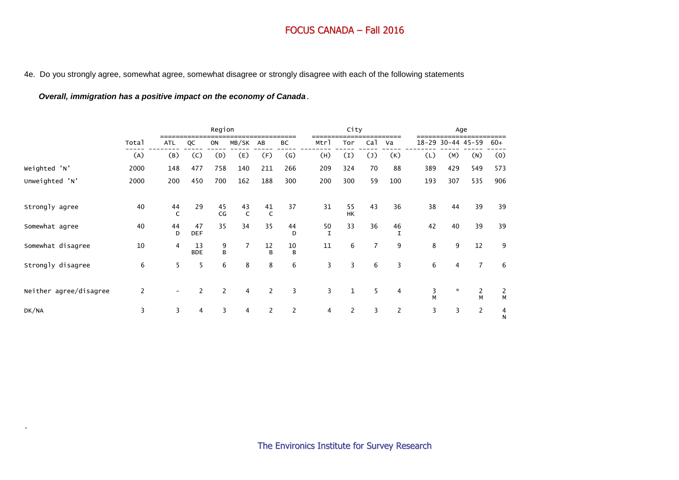#### 4e. Do you strongly agree, somewhat agree, somewhat disagree or strongly disagree with each of the following statements

## *Overall, immigration has a positive impact on the economy of Canada*.

.

|                        |       |                    |                  | Region         |                    |                    |                |                | City                  |                 |                |        | Age               |                |                     |
|------------------------|-------|--------------------|------------------|----------------|--------------------|--------------------|----------------|----------------|-----------------------|-----------------|----------------|--------|-------------------|----------------|---------------------|
|                        | Total | <b>ATL</b>         | QC               | ON             | MB/SK              | AB                 | ВC             | Mtrl           | Tor                   | Ca <sub>1</sub> | Va             |        | 18-29 30-44 45-59 |                | $60+$               |
|                        | (A)   | (B)                | (C)              | (D)            | (E)                | (F)                | (G)            | (H)            | (I)                   | $(\mathsf{J})$  | (K)            | (L)    | (M)               | (N)            | (0)                 |
| Weighted 'N'           | 2000  | 148                | 477              | 758            | 140                | 211                | 266            | 209            | 324                   | 70              | 88             | 389    | 429               | 549            | 573                 |
| Unweighted 'N'         | 2000  | 200                | 450              | 700            | 162                | 188                | 300            | 200            | 300                   | 59              | 100            | 193    | 307               | 535            | 906                 |
|                        |       |                    |                  |                |                    |                    |                |                |                       |                 |                |        |                   |                |                     |
| Strongly agree         | 40    | 44<br>$\mathsf{C}$ | 29               | 45<br>CG       | 43<br>$\mathsf{C}$ | 41<br>$\mathsf{C}$ | 37             | 31             | 55<br><b>HK</b>       | 43              | 36             | 38     | 44                | 39             | 39                  |
| Somewhat agree         | 40    | 44<br>D            | 47<br><b>DEF</b> | 35             | 34                 | 35                 | 44<br>D        | $\frac{50}{1}$ | 33                    | 36              | 46             | 42     | 40                | 39             | 39                  |
| Somewhat disagree      | 10    | 4                  | 13<br><b>BDE</b> | 9<br>B         | $\overline{7}$     | 12<br>B            | 10<br>B        | 11             | 6                     | $\overline{7}$  | 9              | 8      | 9                 | 12             | 9                   |
| Strongly disagree      | 6     | 5                  | 5                | 6              | 8                  | 8                  | 6              | 3              | 3                     | 6               | 3              | 6      | 4                 | $\overline{7}$ | 6                   |
| Neither agree/disagree | 2     |                    | $\overline{2}$   | $\overline{2}$ | 4                  | 2                  | 3              | 3              | $\mathbf{1}$          | 5               | 4              | 3<br>M | $\mathcal{R}$     | 2<br>M         | $\overline{2}$<br>M |
| DK/NA                  | 3     | 3                  | 4                | 3              | 4                  | $\overline{2}$     | $\overline{2}$ | 4              | $\mathbf{2}^{\prime}$ | 3               | $\overline{2}$ | 3      | 3                 | $\overline{2}$ | 4<br>$\mathsf{N}$   |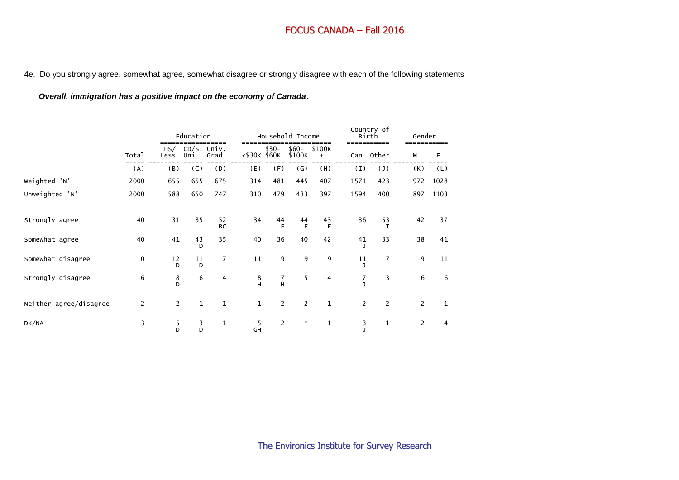4e. Do you strongly agree, somewhat agree, somewhat disagree or strongly disagree with each of the following statements

## *Overall, immigration has a positive impact on the economy of Canada*.

|                        |                |              | Education           |                |              |                | Household Income  |               |                | Country of<br>Birth<br>--------- | Gender         |              |
|------------------------|----------------|--------------|---------------------|----------------|--------------|----------------|-------------------|---------------|----------------|----------------------------------|----------------|--------------|
|                        | Total          | HS/<br>Less  | CD/S. Univ.<br>Uni. | Grad           | <\$30K \$60K | $$30-$         | $$60-$<br>\$100K  | \$100K<br>$+$ | Can            | Other                            | М              | F            |
|                        | (A)            | (B)          | (C)                 | (D)            | (E)          | (F)            | $\left( G\right)$ | (H)           | (I)            | $(\mathsf{J})$                   | (K)            | (L)          |
| Weighted 'N'           | 2000           | 655          | 655                 | 675            | 314          | 481            | 445               | 407           | 1571           | 423                              | 972            | 1028         |
| Unweighted 'N'         | 2000           | 588          | 650                 | 747            | 310          | 479            | 433               | 397           | 1594           | 400                              | 897            | 1103         |
| Strongly agree         | 40             | 31           | 35                  | 52<br>BC       | 34           | 44<br>E        | 44<br>E           | 43<br>E       | 36             | 53<br>I                          | 42             | 37           |
| Somewhat agree         | 40             | 41           | 43<br>D             | 35             | 40           | 36             | 40                | 42            | 41             | 33                               | 38             | 41           |
| Somewhat disagree      | 10             | 12<br>D      | 11<br>D             | $\overline{7}$ | 11           | 9              | 9                 | 9             | 11             | 7                                | 9              | 11           |
| Strongly disagree      | 6              | $_{\rm D}^8$ | 6                   | 4              | $_{\rm H}^8$ | 7<br>H         | 5                 | 4             | 7<br>h         | 3                                | 6              | 6            |
| Neither agree/disagree | $\overline{c}$ | 2            | $\mathbf{1}$        | $\mathbf{1}$   | $\mathbf{1}$ | $\overline{2}$ | $\overline{2}$    | $\mathbf{1}$  | $\overline{2}$ | $\overline{2}$                   | $\overline{2}$ | $\mathbf{1}$ |
| DK/NA                  | 3              | 5<br>D       | 3<br>D              | $\mathbf{1}$   | 5<br>GH      | $\overline{2}$ | $\mathcal{R}$     | $\mathbf{1}$  | 3<br>h         | 1                                | 2              | 4            |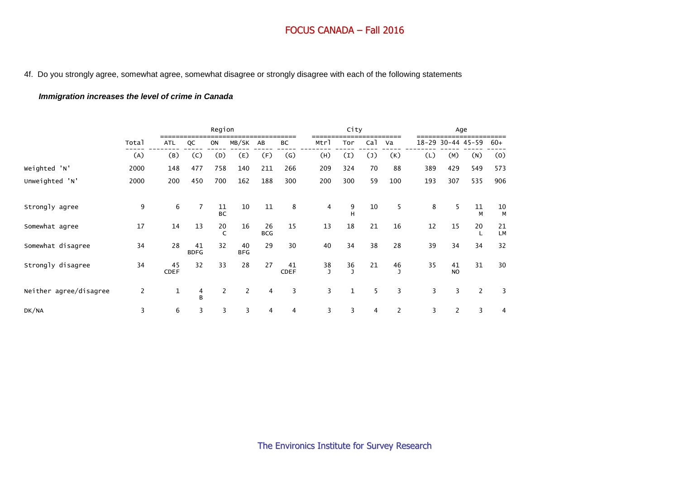4f. Do you strongly agree, somewhat agree, somewhat disagree or strongly disagree with each of the following statements

## *Immigration increases the level of crime in Canada*

|                        |                |                   |                   | Region          |                  |                  |                   |                      | City             |                |                |     | Age                   |                |                 |
|------------------------|----------------|-------------------|-------------------|-----------------|------------------|------------------|-------------------|----------------------|------------------|----------------|----------------|-----|-----------------------|----------------|-----------------|
|                        | Total          | <b>ATL</b>        | QC                | ON              | MB/SK            | AB               | ВC                | Mtrl                 | Tor              | Ca1            | Va             |     | 18-29 30-44 45-59     |                | $60+$           |
|                        | (A)            | (B)               | (C)               | (D)             | (E)              | (F)              | (G)               | (H)                  | $\left(1\right)$ | $(\mathsf{J})$ | (K)            | (L) | (M)                   | (N)            | (0)             |
| Weighted 'N'           | 2000           | 148               | 477               | 758             | 140              | 211              | 266               | 209                  | 324              | 70             | 88             | 389 | 429                   | 549            | 573             |
| Unweighted 'N'         | 2000           | 200               | 450               | 700             | 162              | 188              | 300               | 200                  | 300              | 59             | 100            | 193 | 307                   | 535            | 906             |
| Strongly agree         | 9              | 6                 | $\overline{7}$    | 11<br><b>BC</b> | 10               | 11               | 8                 | 4                    | $\frac{9}{H}$    | 10             | 5              | 8   | 5                     | 11<br>M        | 10<br>M         |
| Somewhat agree         | 17             | 14                | 13                | 20<br>C         | 16               | 26<br><b>BCG</b> | 15                | 13                   | 18               | 21             | 16             | 12  | 15                    | 20<br>L        | 21<br><b>LM</b> |
| Somewhat disagree      | 34             | 28                | 41<br><b>BDFG</b> | 32              | 40<br><b>BFG</b> | 29               | 30                | 40                   | 34               | 38             | 28             | 39  | 34                    | 34             | 32              |
| Strongly disagree      | 34             | 45<br><b>CDEF</b> | 32                | 33              | 28               | 27               | 41<br><b>CDEF</b> | 38<br>$\overline{1}$ | $\frac{36}{J}$   | 21             | 46             | 35  | 41<br><b>NO</b>       | 31             | 30              |
| Neither agree/disagree | $\overline{c}$ | $\mathbf{1}$      | 4<br>B            | $\overline{2}$  | $\overline{2}$   | 4                | 3                 | 3                    | $\mathbf{1}$     | 5              | 3              | 3   | 3                     | $\overline{2}$ | 3               |
| DK/NA                  | 3              | 6                 | 3                 | 3               | 3                | 4                | 4                 | 3                    | 3                | 4              | $\overline{2}$ | 3   | $\mathbf{2}^{\prime}$ | 3              | 4               |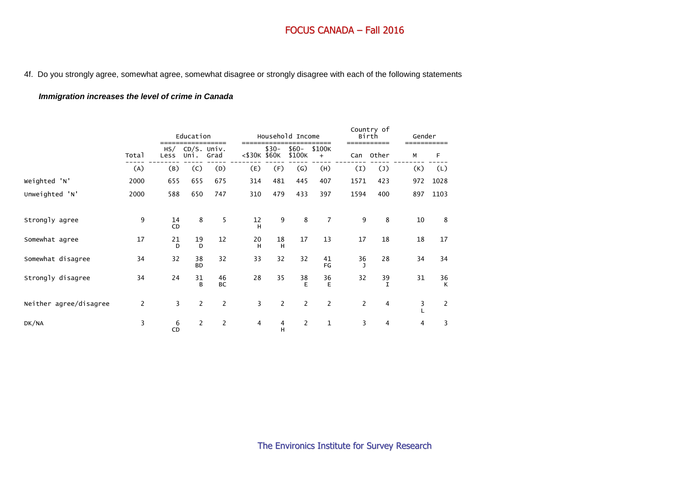4f. Do you strongly agree, somewhat agree, somewhat disagree or strongly disagree with each of the following statements

## *Immigration increases the level of crime in Canada*

|                        |       |                    | Education           |                 |              |                | Household Income  |                     |                    | Country of<br>Birth | Gender |         |
|------------------------|-------|--------------------|---------------------|-----------------|--------------|----------------|-------------------|---------------------|--------------------|---------------------|--------|---------|
|                        | Total | HS/<br>Less        | CD/S. Univ.<br>Uni. | Grad            | <\$30K \$60K | $$30-$         | $$60-$<br>\$100K  | \$100K<br>$\ddot{}$ | Can                | Other               | М      | F       |
|                        | (A)   | (B)                | (C)                 | (D)             | (E)          | (F)            | $\left( G\right)$ | (H)                 | (I)                | $(\mathsf{J})$      | (K)    | (L)     |
| Weighted 'N'           | 2000  | 655                | 655                 | 675             | 314          | 481            | 445               | 407                 | 1571               | 423                 | 972    | 1028    |
| Unweighted 'N'         | 2000  | 588                | 650                 | 747             | 310          | 479            | 433               | 397                 | 1594               | 400                 | 897    | 1103    |
| Strongly agree         | 9     | 14<br><b>CD</b>    | 8                   | 5               | 12<br>H      | 9              | 8                 | $\overline{7}$      | 9                  | 8                   | 10     | 8       |
| Somewhat agree         | 17    | 21<br>$\mathsf{D}$ | 19<br>D             | 12              | 20<br>H      | 18<br>H        | 17                | 13                  | 17                 | 18                  | 18     | 17      |
| Somewhat disagree      | 34    | 32                 | 38<br><b>BD</b>     | 32              | 33           | 32             | 32                | 41<br>FG            | 36<br>$\mathbf{I}$ | 28                  | 34     | 34      |
| Strongly disagree      | 34    | 24                 | 31<br>B             | 46<br><b>BC</b> | 28           | 35             | 38<br>E           | 36<br>E             | 32                 | 39<br>$\mathbf I$   | 31     | 36<br>K |
| Neither agree/disagree | 2     | 3                  | $\overline{2}$      | $\overline{c}$  | 3            | $\overline{2}$ | $\overline{2}$    | $\overline{c}$      | $\overline{c}$     | $\overline{4}$      | 3      | 2       |
| DK/NA                  | 3     | 6<br><b>CD</b>     | $\overline{2}$      | $\overline{2}$  | 4            | 4<br>H         | $\overline{2}$    | $\mathbf{1}$        | $\overline{3}$     | 4                   | 4      | 3       |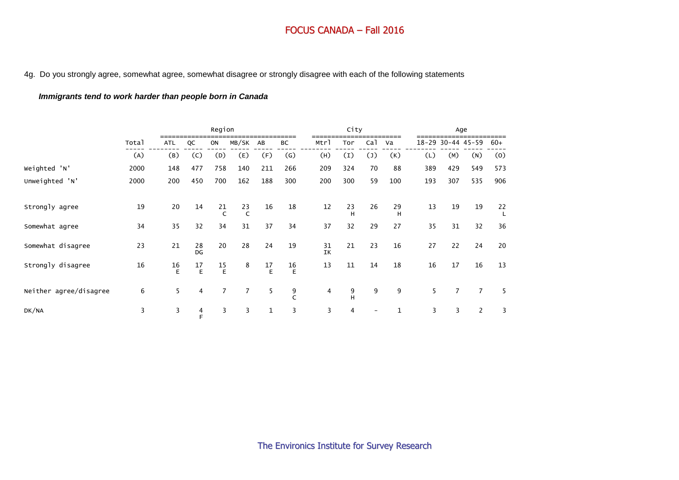#### 4g. Do you strongly agree, somewhat agree, somewhat disagree or strongly disagree with each of the following statements

## *Immigrants tend to work harder than people born in Canada*

|                        |       |            |          | Region         |                |              |                   |          | City    |                 |              |     |                | Age               |           |
|------------------------|-------|------------|----------|----------------|----------------|--------------|-------------------|----------|---------|-----------------|--------------|-----|----------------|-------------------|-----------|
|                        | Total | <b>ATL</b> | QC       | ON             | MB/SK          | AB           | BC                | Mtrl     | Tor     | Ca <sub>1</sub> | Va           |     |                | 18-29 30-44 45-59 | $60+$     |
|                        | (A)   | (B)        | (C)      | (D)            | (E)            | (F)          | $\left( G\right)$ | (H)      | (I)     | $(\mathsf{J})$  | (K)          | (L) | (M)            | (N)               | (0)       |
| Weighted 'N'           | 2000  | 148        | 477      | 758            | 140            | 211          | 266               | 209      | 324     | 70              | 88           | 389 | 429            | 549               | 573       |
| Unweighted 'N'         | 2000  | 200        | 450      | 700            | 162            | 188          | 300               | 200      | 300     | 59              | 100          | 193 | 307            | 535               | 906       |
|                        |       |            |          |                |                |              |                   |          |         |                 |              |     |                |                   |           |
| Strongly agree         | 19    | 20         | 14       | 21             | $23$<br>C      | 16           | 18                | 12       | 23<br>H | 26              | 29<br>H      | 13  | 19             | 19                | $22$<br>L |
| Somewhat agree         | 34    | 35         | 32       | 34             | 31             | 37           | 34                | 37       | 32      | 29              | 27           | 35  | 31             | 32                | 36        |
| Somewhat disagree      | 23    | 21         | 28<br>DG | 20             | 28             | 24           | 19                | 31<br>IK | 21      | 23              | 16           | 27  | 22             | 24                | 20        |
| Strongly disagree      | 16    | 16<br>E    | 17<br>E  | $\frac{15}{E}$ | 8              | 17<br>E      | 16<br>$\mathsf E$ | 13       | 11      | 14              | 18           | 16  | 17             | 16                | 13        |
| Neither agree/disagree | 6     | 5          | 4        | $\overline{7}$ | $\overline{7}$ | 5            | 9<br>$\epsilon$   | 4        | 9<br>н  | 9               | 9            | 5   | $\overline{7}$ | $\overline{7}$    | 5         |
| DK/NA                  | 3     | 3          | 4<br>F   | 3              | 3              | $\mathbf{1}$ | 3                 | 3        | 4       |                 | $\mathbf{1}$ | 3   | 3              | $\overline{2}$    | 3         |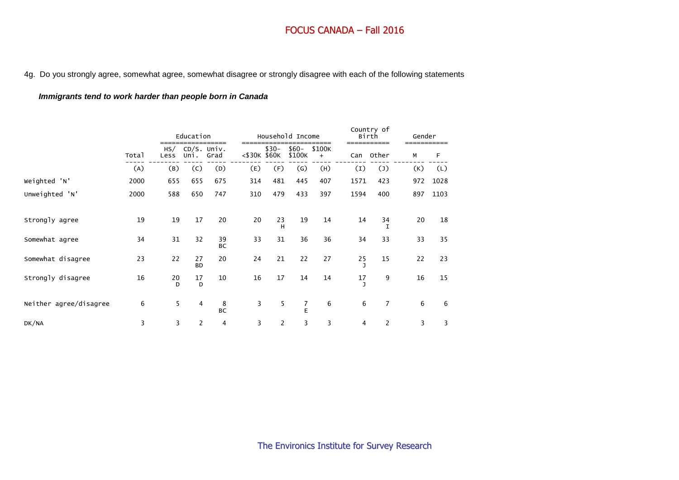4g. Do you strongly agree, somewhat agree, somewhat disagree or strongly disagree with each of the following statements

## *Immigrants tend to work harder than people born in Canada*

|                        |       |         | Education               | ____            |              |                | Household Income  | ===                 |                | Country of<br>Birth<br>------ | Gender |      |
|------------------------|-------|---------|-------------------------|-----------------|--------------|----------------|-------------------|---------------------|----------------|-------------------------------|--------|------|
|                        | Total | Less    | HS/ CD/S. Univ.<br>Uni. | Grad            | <\$30K \$60K | $$30-$         | $$60-$<br>\$100K  | \$100K<br>$\ddot{}$ | Can            | Other                         | М      | F    |
|                        | (A)   | (B)     | (C)                     | (D)             | (E)          | (F)            | $\left( G\right)$ | (H)                 | (I)            | $(\mathsf{J})$                | (K)    | (L)  |
| Weighted 'N'           | 2000  | 655     | 655                     | 675             | 314          | 481            | 445               | 407                 | 1571           | 423                           | 972    | 1028 |
| Unweighted 'N'         | 2000  | 588     | 650                     | 747             | 310          | 479            | 433               | 397                 | 1594           | 400                           | 897    | 1103 |
| Strongly agree         | 19    | 19      | 17                      | 20              | 20           | 23<br>н        | 19                | 14                  | 14             | 34                            | 20     | 18   |
| Somewhat agree         | 34    | 31      | 32                      | 39<br><b>BC</b> | 33           | 31             | 36                | 36                  | 34             | 33                            | 33     | 35   |
| Somewhat disagree      | 23    | 22      | 27<br><b>BD</b>         | 20              | 24           | 21             | 22                | 27                  | 25             | 15                            | 22     | 23   |
| Strongly disagree      | 16    | 20<br>D | 17<br>D                 | 10              | 16           | 17             | 14                | 14                  | 17<br>J        | 9                             | 16     | 15   |
| Neither agree/disagree | 6     | 5       | 4                       | 8<br><b>BC</b>  | 3            | 5              | 7<br>E            | 6                   | 6              | $\overline{7}$                | 6      | 6    |
| DK/NA                  | 3     | 3       | 2                       | 4               | 3            | $\overline{c}$ | 3                 | 3                   | $\overline{4}$ | 2                             | 3      | 3    |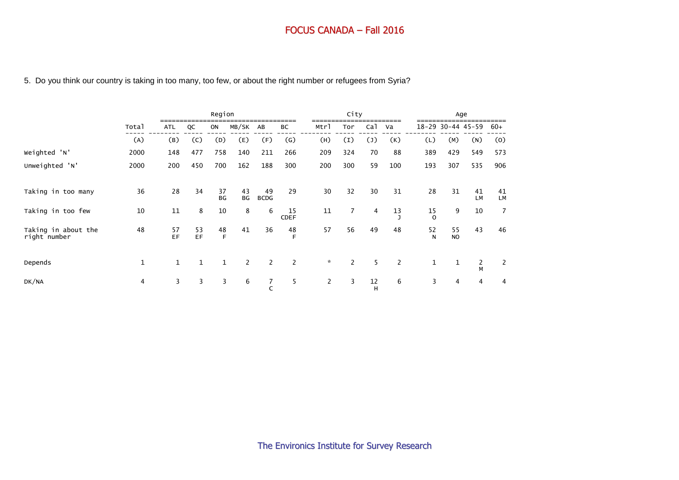#### 5. Do you think our country is taking in too many, too few, or about the right number or refugees from Syria?

|                                     |       |            |              | Region       |          |                   |                   |                | City                  |                 |         |                | Age               |                |                |
|-------------------------------------|-------|------------|--------------|--------------|----------|-------------------|-------------------|----------------|-----------------------|-----------------|---------|----------------|-------------------|----------------|----------------|
|                                     | Total | <b>ATL</b> | QC           | ON           | MB/SK    | AB                | ВC                | Mtrl           | Tor                   | Ca <sub>1</sub> | Va      |                | 18-29 30-44 45-59 |                | 60+            |
|                                     | (A)   | (B)        | (C)          | (D)          | (E)      | (F)               | $\left( G\right)$ | (H)            | $\left(1\right)$      | $(\mathsf{J})$  | (K)     | (L)            | (M)               | (N)            | (0)            |
| Weighted 'N'                        | 2000  | 148        | 477          | 758          | 140      | 211               | 266               | 209            | 324                   | 70              | 88      | 389            | 429               | 549            | 573            |
| Unweighted 'N'                      | 2000  | 200        | 450          | 700          | 162      | 188               | 300               | 200            | 300                   | 59              | 100     | 193            | 307               | 535            | 906            |
| Taking in too many                  | 36    | 28         | 34           | 37<br>BG     | 43<br>BG | 49<br><b>BCDG</b> | 29                | 30             | 32                    | 30              | 31      | 28             | 31                | 41<br>LM       | 41<br>LM       |
| Taking in too few                   | 10    | 11         | 8            | 10           | 8        | 6                 | 15<br><b>CDEF</b> | 11             | $\overline{7}$        | 4               | 13<br>ı | 15<br>$\Omega$ | 9                 | 10             | $\overline{7}$ |
| Taking in about the<br>right number | 48    | 57<br>EF   | 53<br>EF     | 48<br>E      | 41       | 36                | 48<br>F           | 57             | 56                    | 49              | 48      | 52<br>N        | 55<br><b>NO</b>   | 43             | 46             |
| Depends                             | 1     | 1          | $\mathbf{1}$ | $\mathbf{1}$ | 2        | $\overline{2}$    | $\overline{2}$    | $\mathcal{R}$  | $\mathbf{2}^{\prime}$ | 5               | 2       | $\mathbf 1$    | $\mathbf{1}$      | $\frac{2}{M}$  | $\mathbf{2}$   |
| DK/NA                               | 4     | 3          | 3            | 3            | 6        | 7                 | 5                 | $\overline{2}$ | 3                     | 12<br>H         | 6       | 3              | 4                 | $\overline{4}$ | 4              |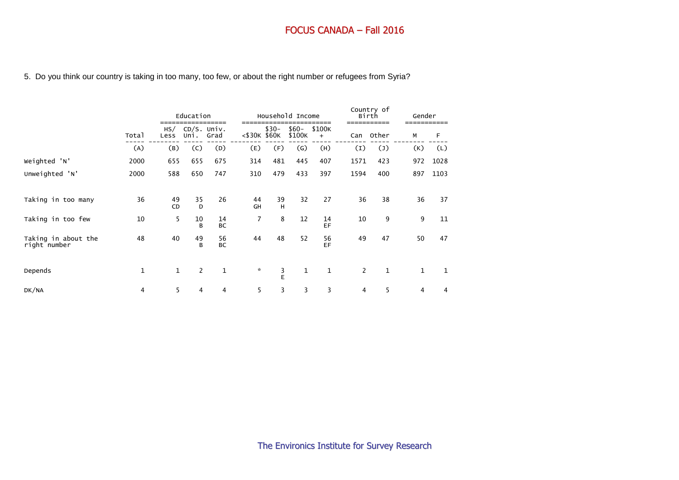## 5. Do you think our country is taking in too many, too few, or about the right number or refugees from Syria?

|                                     |              |              | Education      |                       |                 |             | Household Income  |               |                | Country of<br>Birth | Gender       |      |
|-------------------------------------|--------------|--------------|----------------|-----------------------|-----------------|-------------|-------------------|---------------|----------------|---------------------|--------------|------|
|                                     | Total        | HS/<br>Less  | Uni.           | $CD/S.$ Univ.<br>Grad | $<$ \$30K \$60K | $$30-$      | $$60-$<br>\$100K  | \$100K<br>$+$ | Can            | Other               | М            | F    |
|                                     | (A)          | (B)          | (C)            | (D)                   | (E)             | (F)         | $\left( G\right)$ | (H)           | (I)            | $(\mathsf{J})$      | (K)          | (L)  |
| Weighted 'N'                        | 2000         | 655          | 655            | 675                   | 314             | 481         | 445               | 407           | 1571           | 423                 | 972          | 1028 |
| Unweighted 'N'                      | 2000         | 588          | 650            | 747                   | 310             | 479         | 433               | 397           | 1594           | 400                 | 897          | 1103 |
| Taking in too many                  | 36           | 49<br>CD     | 35<br>D        | 26                    | 44<br>GH        | 39<br>H     | 32                | 27            | 36             | 38                  | 36           | 37   |
| Taking in too few                   | 10           | 5            | 10<br>B        | 14<br><b>BC</b>       | $\overline{7}$  | 8           | 12                | 14<br>EF      | 10             | 9                   | 9            | 11   |
| Taking in about the<br>right number | 48           | 40           | 49<br>B        | 56<br><b>BC</b>       | 44              | 48          | 52                | 56<br>EF      | 49             | 47                  | 50           | 47   |
| Depends                             | $\mathbf{1}$ | $\mathbf{1}$ | $\overline{2}$ | 1                     | $\mathbf{x}$    | $rac{3}{E}$ | $\mathbf 1$       | $\mathbf{1}$  | $\overline{2}$ | $\mathbf{1}$        | $\mathbf{1}$ | 1    |
| DK/NA                               | 4            | 5            | 4              | 4                     | 5               | 3           | 3                 | 3             | 4              | 5                   | 4            | 4    |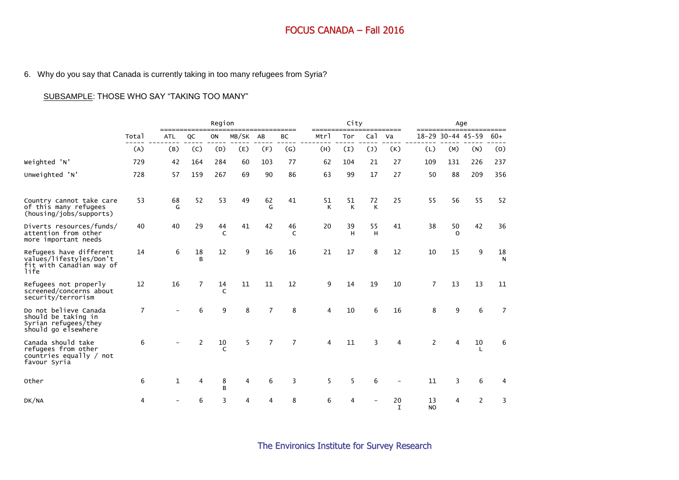## 6. Why do you say that Canada is currently taking in too many refugees from Syria?

## SUBSAMPLE: THOSE WHO SAY "TAKING TOO MANY"

|                                                                                             |       |              |              | Region           |       |                |                |         | City    |                 |                   |                 |                   | Age                |         |
|---------------------------------------------------------------------------------------------|-------|--------------|--------------|------------------|-------|----------------|----------------|---------|---------|-----------------|-------------------|-----------------|-------------------|--------------------|---------|
|                                                                                             | Total | <b>ATL</b>   | QC           | ON               | MB/SK | AB             | BC             | Mtrl    | Tor     | Ca <sub>1</sub> | Va                |                 | 18-29 30-44 45-59 |                    | $60+$   |
|                                                                                             | (A)   | (B)          | (C)          | (D)              | (E)   | (F)            | (G)            | (H)     | (I)     | (1)             | (K)               | (L)             | (M)               | (N)                | (0)     |
| Weighted 'N'                                                                                | 729   | 42           | 164          | 284              | 60    | 103            | 77             | 62      | 104     | 21              | 27                | 109             | 131               | 226                | 237     |
| Unweighted 'N'                                                                              | 728   | 57           | 159          | 267              | 69    | 90             | 86             | 63      | 99      | 17              | 27                | 50              | 88                | 209                | 356     |
| Country cannot take care<br>of this many refugees<br>(housing/jobs/supports)                | 53    | 68<br>G      | 52           | 53               | 49    | 62<br>G        | 41             | 51<br>K | 51<br>K | 72<br>К         | 25                | 55              | 56                | 55                 | 52      |
| Diverts resources/funds/<br>attention from other<br>more important needs                    | 40    | 40           | 29           | 44<br>C          | 41    | 42             | 46<br>C        | 20      | 39<br>H | 55<br>H         | 41                | 38              | 50<br>$\Omega$    | 42                 | 36      |
| Refugees have different<br>values/lifestyles/Don't<br>fit with Canadian way of<br>life      | 14    | 6            | 18<br>R      | 12               | 9     | 16             | 16             | 21      | 17      | 8               | 12                | 10              | 15                | 9                  | 18<br>N |
| Refugees not properly<br>screened/concerns about<br>security/terrorism                      | 12    | 16           | 7            | 14<br>$\epsilon$ | 11    | 11             | 12             | 9       | 14      | 19              | 10                | $\overline{7}$  | 13                | 13                 | 11      |
| Do not believe Canada<br>should be taking in<br>Syrian refugees/they<br>should go elsewhere | 7     |              | 6            | 9                | 8     | $\overline{7}$ | 8              | 4       | 10      | 6               | 16                | 8               | 9                 | 6                  | 7       |
| Canada should take<br>refugees from other<br>countries equally / not<br>favour Syria        | 6     |              | $\mathbf{2}$ | 10<br>$\epsilon$ | 5     | $\overline{7}$ | $\overline{7}$ | 4       | 11      | 3               | 4                 | $\overline{2}$  | 4                 | 10<br>$\mathbf{L}$ | 6       |
| Other                                                                                       | 6     | $\mathbf{1}$ | 4            | 8<br>B           | 4     | 6              | 3              | 5       | 5       | 6               |                   | 11              | 3                 | 6                  | 4       |
| DK/NA                                                                                       | 4     |              |              | 3                | 4     | 4              | 8              | 6       | 4       |                 | 20<br>$\mathbf I$ | 13<br><b>NO</b> | 4                 | 2                  | 3       |

The Environics Institute for Survey Research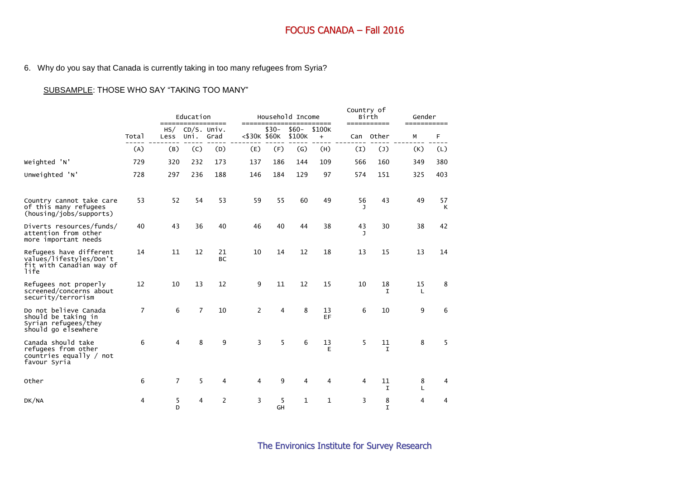## 6. Why do you say that Canada is currently taking in too many refugees from Syria?

## SUBSAMPLE: THOSE WHO SAY "TAKING TOO MANY"

|                                                                                             |                |                | Education<br>================== |                 | =======         |         | Household Income  | ======        | Country of | Birth<br>=========== | Gender<br>------------ |         |
|---------------------------------------------------------------------------------------------|----------------|----------------|---------------------------------|-----------------|-----------------|---------|-------------------|---------------|------------|----------------------|------------------------|---------|
|                                                                                             | Total          | HS/<br>Less    | CD/S. Univ.<br>Uni.             | Grad            | $<$ \$30K \$60K | $$30-$  | $$60-$<br>\$100K  | \$100K<br>$+$ | Can        | Other                | М                      | F       |
|                                                                                             | (A)            | (B)            | (C)                             | (D)             | (E)             | (F)     | $\left( G\right)$ | (H)           | (I)        | $(\mathsf{J})$       | (K)                    | (L)     |
| Weighted 'N'                                                                                | 729            | 320            | 232                             | 173             | 137             | 186     | 144               | 109           | 566        | 160                  | 349                    | 380     |
| Unweighted 'N'                                                                              | 728            | 297            | 236                             | 188             | 146             | 184     | 129               | 97            | 574        | 151                  | 325                    | 403     |
| Country cannot take care<br>of this many refugees<br>(housing/jobs/supports)                | 53             | 52             | 54                              | 53              | 59              | 55      | 60                | 49            | 56         | 43                   | 49                     | 57<br>K |
| Diverts resources/funds/<br>attention from other<br>more important needs                    | 40             | 43             | 36                              | 40              | 46              | 40      | 44                | 38            | 43<br>J.   | 30                   | 38                     | 42      |
| Refugees have different<br>values/lifestyles/Don't<br>fit with Canadian way of<br>life      | 14             | 11             | 12                              | 21<br><b>BC</b> | 10              | 14      | 12                | 18            | 13         | 15                   | 13                     | 14      |
| Refugees not properly<br>screened/concerns about<br>security/terrorism                      | 12             | 10             | 13                              | 12              | 9               | 11      | 12                | 15            | 10         | 18<br>T              | 15<br>$\mathbf{I}$     | 8       |
| Do not believe Canada<br>should be taking in<br>Syrian refugees/they<br>should go elsewhere | $\overline{7}$ | 6              | $\overline{7}$                  | 10              | $\overline{2}$  | 4       | 8                 | 13<br>EF      | 6          | 10                   | 9                      | 6       |
| Canada should take<br>refugees from other<br>countries equally / not<br>favour Syria        | 6              | 4              | 8                               | 9               | 3               | 5       | 6                 | 13<br>Е       | 5          | 11<br>$\mathbf I$    | 8                      | 5       |
| Other                                                                                       | 6              | $\overline{7}$ | 5                               | 4               | 4               | 9       | 4                 | 4             | 4          | 11<br>T.             | 8<br>L                 | 4       |
| DK/NA                                                                                       | 4              | 5<br>D         | 4                               | $\overline{2}$  | 3               | 5<br>GH | 1                 | 1             | 3          | 8<br>$\mathbf I$     | 4                      | 4       |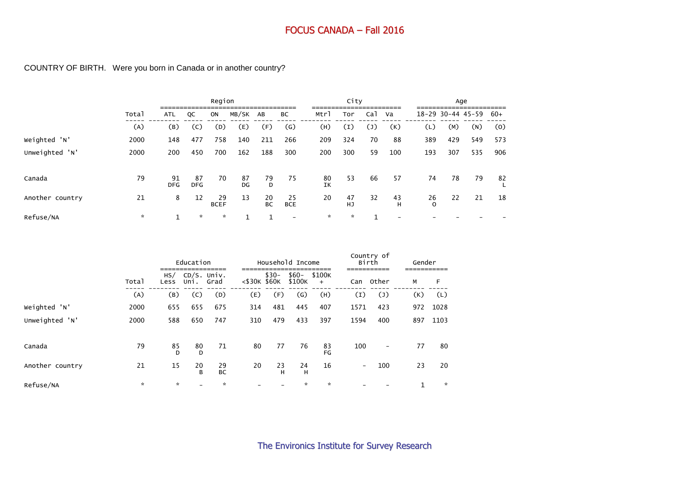## COUNTRY OF BIRTH. Were you born in Canada or in another country?

|                 |              |                  |                  | Region            |              |                 |                   |          | City            |                 |         |                   | Age |     |       |
|-----------------|--------------|------------------|------------------|-------------------|--------------|-----------------|-------------------|----------|-----------------|-----------------|---------|-------------------|-----|-----|-------|
|                 | Total        | <b>ATL</b>       | QC               | ON                | MB/SK        | AB              | BC                | Mtrl     | Tor             | Ca <sub>1</sub> | Va      | 18-29 30-44 45-59 |     |     | $60+$ |
|                 | (A)          | (B)              | (C)              | (D)               | (E)          | (F)             | $\left( G\right)$ | (H)      | (I)             | $(\mathsf{J})$  | (K)     | (L)               | (M) | (N) | (0)   |
| Weighted 'N'    | 2000         | 148              | 477              | 758               | 140          | 211             | 266               | 209      | 324             | 70              | 88      | 389               | 429 | 549 | 573   |
| Unweighted 'N'  | 2000         | 200              | 450              | 700               | 162          | 188             | 300               | 200      | 300             | 59              | 100     | 193               | 307 | 535 | 906   |
| Canada          | 79           | 91<br><b>DFG</b> | 87<br><b>DFG</b> | 70                | 87<br>DG     | 79<br>D         | 75                | 80<br>IΚ | 53              | 66              | 57      | 74                | 78  | 79  | 82    |
| Another country | 21           | 8                | 12               | 29<br><b>BCEF</b> | 13           | 20<br><b>BC</b> | 25<br><b>BCE</b>  | 20       | 47<br><b>HJ</b> | 32              | 43<br>н | 26<br>$\Omega$    | 22  | 21  | 18    |
| Refuse/NA       | $\mathbf{x}$ | $\mathbf{1}$     | $\star$          | $\star$           | $\mathbf{1}$ |                 |                   | $\star$  | $\star$         | 1               |         |                   |     |     |       |

|                 |         |             | Education |                     |                 |         | Household Income  |                     |                          | Country of<br>Birth | Gender |      |
|-----------------|---------|-------------|-----------|---------------------|-----------------|---------|-------------------|---------------------|--------------------------|---------------------|--------|------|
|                 | Total   | HS/<br>Less | Uni.      | CD/S. Univ.<br>Grad | $<$ \$30K \$60K | $$30-$  | $$60-$<br>\$100K  | \$100K<br>$\ddot{}$ | Can                      | Other               | М      | F    |
|                 | (A)     | (B)         | (C)       | (D)                 | (E)             | (F)     | $\left( G\right)$ | (H)                 | (I)                      | $(\mathsf{J})$      | (K)    | (L)  |
| Weighted 'N'    | 2000    | 655         | 655       | 675                 | 314             | 481     | 445               | 407                 | 1571                     | 423                 | 972    | 1028 |
| Unweighted 'N'  | 2000    | 588         | 650       | 747                 | 310             | 479     | 433               | 397                 | 1594                     | 400                 | 897    | 1103 |
| Canada          | 79      | 85<br>D.    | 80<br>D   | 71                  | 80              | 77      | 76                | 83<br>FG            | 100                      | $\qquad \qquad -$   | 77     | 80   |
| Another country | 21      | 15          | 20<br>B   | 29<br><b>BC</b>     | 20              | 23<br>н | 24<br>н           | 16                  | $\overline{\phantom{a}}$ | 100                 | 23     | 20   |
| Refuse/NA       | $\star$ | $\star$     |           | $\star$             |                 |         | ×.                | $\star$             |                          |                     | 1      | ☆    |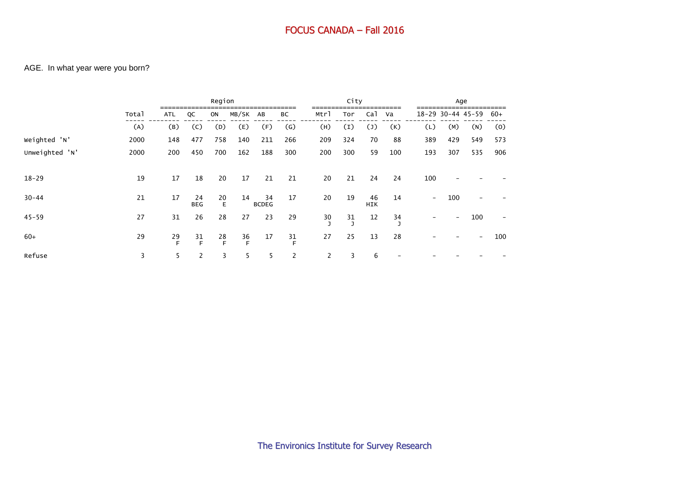## AGE. In what year were you born?

|                |       |            |                  | Region       |              |                    |                   |                       | City                                   |                  |                                        |                          |     | Age                      |      |
|----------------|-------|------------|------------------|--------------|--------------|--------------------|-------------------|-----------------------|----------------------------------------|------------------|----------------------------------------|--------------------------|-----|--------------------------|------|
|                | Total | <b>ATL</b> | QC               | ON           | MB/SK AB     |                    | ВC                | Mtrl                  | Tor                                    | Ca <sub>1</sub>  | Va                                     |                          |     | 18-29 30-44 45-59        | -60+ |
|                | (A)   | (B)        | (C)              | (D)          | (E)          | (F)                | $\left( G\right)$ | (H)                   | $\left(1\right)$                       | $(\mathsf{J})$   | (K)                                    | (L)                      | (M) | (N)                      | (0)  |
| Weighted 'N'   | 2000  | 148        | 477              | 758          | 140          | 211                | 266               | 209                   | 324                                    | 70               | 88                                     | 389                      | 429 | 549                      | 573  |
| Unweighted 'N' | 2000  | 200        | 450              | 700          | 162          | 188                | 300               | 200                   | 300                                    | 59               | 100                                    | 193                      | 307 | 535                      | 906  |
| $18 - 29$      | 19    | 17         | 18               | 20           | 17           | 21                 | 21                | 20                    | 21                                     | 24               | 24                                     | 100                      |     |                          |      |
| $30 - 44$      | 21    | 17         | 24<br><b>BEG</b> | 20<br>E      | 14           | 34<br><b>BCDEG</b> | 17                | 20                    | 19                                     | 46<br><b>HIK</b> | 14                                     | $\overline{\phantom{a}}$ | 100 |                          |      |
| $45 - 59$      | 27    | 31         | 26               | 28           | 27           | 23                 | 29                | $\frac{30}{7}$        | $\begin{array}{c} 31 \\ 5 \end{array}$ | 12               | $\begin{array}{c} 34 \\ 3 \end{array}$ |                          |     | 100                      |      |
| $60+$          | 29    | 29<br>E    | $\frac{31}{F}$   | $28 \nF$     | $rac{36}{5}$ | 17                 | $\frac{31}{F}$    | 27                    | 25                                     | 13               | 28                                     |                          |     | $\overline{\phantom{0}}$ | 100  |
| Refuse         | 3     | 5          | 2                | $\mathbf{3}$ | 5            | 5                  | 2                 | $\mathbf{2}^{\prime}$ | 3                                      | 6                |                                        |                          |     |                          |      |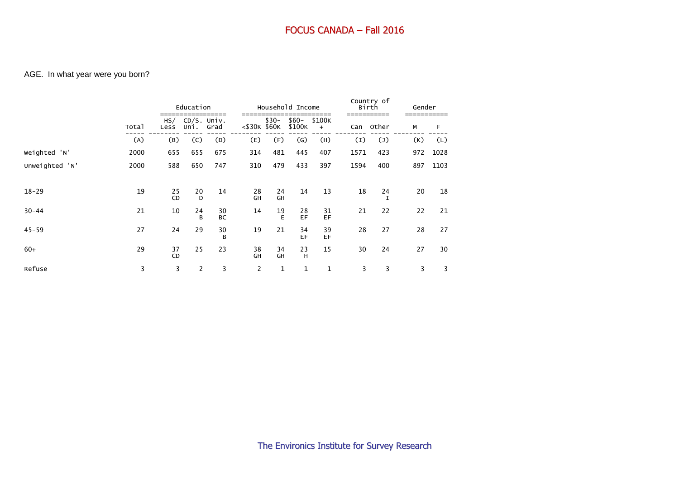## AGE. In what year were you born?

|                |       |                 | Education |                           |                 |          | Household Income |               |      | Country of<br>Birth | Gender |      |
|----------------|-------|-----------------|-----------|---------------------------|-----------------|----------|------------------|---------------|------|---------------------|--------|------|
|                | Total | Less            | Uni.      | $HS/$ CD/S. Univ.<br>Grad | $<$ \$30K \$60K | $$30-$   | $$60-$<br>\$100K | \$100K<br>$+$ | Can  | Other               | М      | F    |
|                | (A)   | (B)             | (C)       | (D)                       | (E)             | (F)      | $\mathsf{(G)}$   | (H)           | (I)  | $(\mathsf{J})$      | (K)    | (L)  |
| Weighted 'N'   | 2000  | 655             | 655       | 675                       | 314             | 481      | 445              | 407           | 1571 | 423                 | 972    | 1028 |
| Unweighted 'N' | 2000  | 588             | 650       | 747                       | 310             | 479      | 433              | 397           | 1594 | 400                 | 897    | 1103 |
|                |       |                 |           |                           |                 |          |                  |               |      |                     |        |      |
| $18 - 29$      | 19    | 25<br><b>CD</b> | 20<br>D   | 14                        | 28<br>GH        | 24<br>GH | 14               | 13            | 18   | 24<br>I             | 20     | 18   |
| $30 - 44$      | 21    | 10              | 24<br>B   | 30<br><b>BC</b>           | 14              | 19<br>E  | 28<br>EF         | 31<br>EF      | 21   | 22                  | 22     | 21   |
| $45 - 59$      | 27    | 24              | 29        | 30<br>B                   | 19              | 21       | 34<br>EF         | 39<br>EF      | 28   | 27                  | 28     | 27   |
| $60+$          | 29    | 37<br><b>CD</b> | 25        | 23                        | 38<br>GH        | 34<br>GH | 23<br>H          | 15            | 30   | 24                  | 27     | 30   |
| Refuse         | 3     | 3               | 2         | 3                         | $\overline{2}$  | 1        | 1                | $\mathbf{1}$  | 3    | 3                   | 3      | 3    |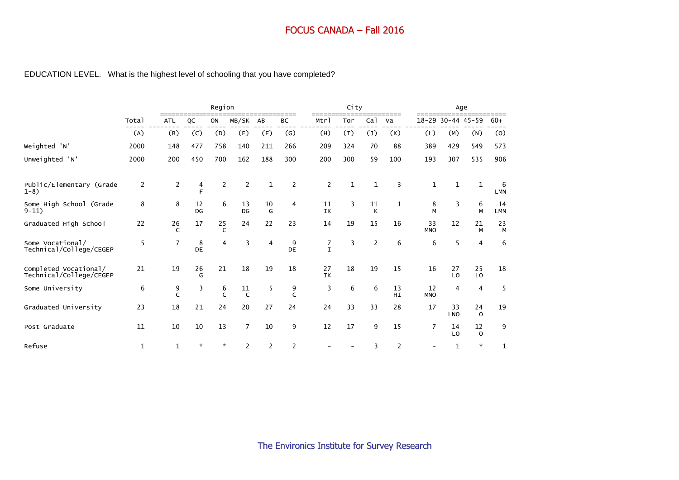# EDUCATION LEVEL. What is the highest level of schooling that you have completed?

|                                                  |                |              |          | Region            |                    |                |                   |                  | City         |                 |                |                  | Age             |                   |                  |
|--------------------------------------------------|----------------|--------------|----------|-------------------|--------------------|----------------|-------------------|------------------|--------------|-----------------|----------------|------------------|-----------------|-------------------|------------------|
|                                                  | Total          | <b>ATL</b>   | QC       | ON                | MB/SK              | AB             | BC                | Mtrl             | Tor          | Ca <sub>1</sub> | Va             | $18 - 29$        | $30-44$ $45-59$ |                   | $60+$            |
|                                                  | (A)            | (B)          | (C)      | (D)               | (E)                | (F)            | $\left( G\right)$ | (H)              | (I)          | $(\mathsf{J})$  | (K)            | (L)              | (M)             | (N)               | (0)              |
| Weighted 'N'                                     | 2000           | 148          | 477      | 758               | 140                | 211            | 266               | 209              | 324          | 70              | 88             | 389              | 429             | 549               | 573              |
| Unweighted 'N'                                   | 2000           | 200          | 450      | 700               | 162                | 188            | 300               | 200              | 300          | 59              | 100            | 193              | 307             | 535               | 906              |
| Public/Elementary (Grade<br>$1 - 8$              | $\overline{c}$ | $\mathbf{2}$ | 4<br>E   | 2                 | 2                  | 1              | $\overline{2}$    | $\overline{2}$   | $\mathbf{1}$ | $\mathbf{1}$    | 3              | $\mathbf{1}$     | $\mathbf{1}$    | $\mathbf 1$       | 6<br><b>LMN</b>  |
| Some High School (Grade<br>$9-11)$               | 8              | 8            | 12<br>DG | 6                 | 13<br>DG           | 10<br>G        | 4                 | 11<br>IK         | 3            | 11<br>К         | $\mathbf{1}$   | 8<br>M           | 3               | 6<br>M            | 14<br><b>LMN</b> |
| Graduated High School                            | 22             | 26<br>C      | 17       | 25<br>C           | 24                 | 22             | 23                | 14               | 19           | 15              | 16             | 33<br><b>MNO</b> | 12              | 21<br>M           | 23<br>M          |
| Some Vocational/<br>Technical/College/CEGEP      | 5              | 7            | 8<br>DE  | 4                 | 3                  | $\overline{4}$ | 9<br>DE           | 7<br>$\mathbf I$ | 3            | $\overline{2}$  | 6              | 6                | 5               | $\overline{4}$    | 6                |
| Completed Vocational/<br>Technical/College/CEGEP | 21             | 19           | 26<br>G  | 21                | 18                 | 19             | 18                | 27<br>IK         | 18           | 19              | 15             | 16               | 27<br>LO        | 25<br>LO          | 18               |
| Some University                                  | 6              | 9<br>C       | 3        | 6<br>$\mathsf{C}$ | 11<br>$\mathsf{C}$ | 5              | 9<br>C            | 3                | 6            | 6               | 13<br>HI       | 12<br><b>MNO</b> | 4               | 4                 | 5                |
| Graduated University                             | 23             | 18           | 21       | 24                | 20                 | 27             | 24                | 24               | 33           | 33              | 28             | 17               | 33<br>LNO       | 24<br>$\mathbf 0$ | 19               |
| Post Graduate                                    | 11             | 10           | 10       | 13                | 7                  | 10             | 9                 | 12               | 17           | 9               | 15             | 7                | 14<br>LO        | 12<br>$\mathbf 0$ | 9                |
| Refuse                                           | 1              | 1            | $\star$  | $\star$           | $\overline{2}$     | $\overline{2}$ | $\overline{2}$    |                  |              | 3               | $\overline{2}$ |                  | 1               | $\mathbf{x}$      | 1                |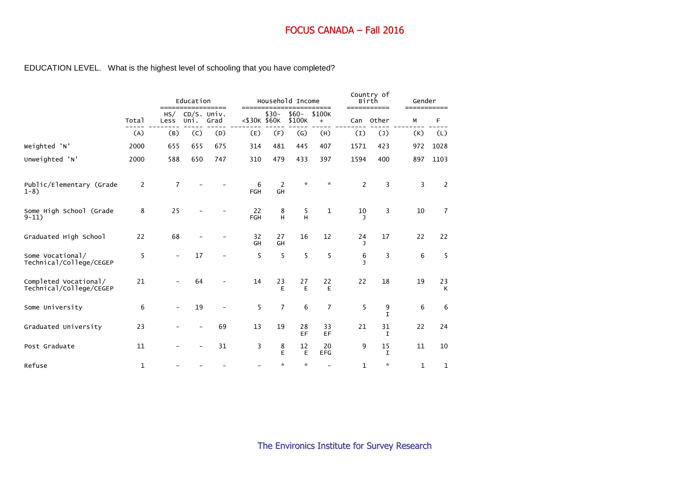## EDUCATION LEVEL. What is the highest level of schooling that you have completed?

|                                                  |             | =====                    | Education             | ===== |                  |                      | Household Income  | ====                |                   | Country of<br>Birth<br>----------- | Gender | =====          |
|--------------------------------------------------|-------------|--------------------------|-----------------------|-------|------------------|----------------------|-------------------|---------------------|-------------------|------------------------------------|--------|----------------|
|                                                  | Total       | HS/<br>Less              | $CD/S.$ Univ.<br>Uni. | Grad  | $<$ \$30K \$60K  | $$30-$               | $$60-$<br>\$100K  | \$100K<br>$\ddot{}$ | Can               | Other                              | М      | F              |
|                                                  | (A)         | (B)                      | (C)                   | (D)   | (E)              | (F)                  | $\left( G\right)$ | (H)                 | $\left(1\right)$  | $(\mathsf{J})$                     | (K)    | (L)            |
| Weighted 'N'                                     | 2000        | 655                      | 655                   | 675   | 314              | 481                  | 445               | 407                 | 1571              | 423                                | 972    | 1028           |
| Unweighted 'N'                                   | 2000        | 588                      | 650                   | 747   | 310              | 479                  | 433               | 397                 | 1594              | 400                                | 897    | 1103           |
| Public/Elementary (Grade<br>$1-8$ )              | 2           | $\overline{7}$           |                       |       | 6<br>FGH         | $\overline{2}$<br>GH | $\mathcal{R}$     | $\mathcal{R}$       | $\overline{2}$    | 3                                  | 3      | 2              |
| Some High School (Grade<br>$9 - 11)$             | 8           | 25                       |                       |       | 22<br><b>FGH</b> | 8<br>H               | 5<br>H            | $\mathbf{1}$        | 10<br>J           | 3                                  | 10     | $\overline{7}$ |
| Graduated High School                            | 22          | 68                       |                       |       | 32<br>GH         | 27<br>GH             | 16                | 12                  | 24<br>J.          | 17                                 | 22     | 22             |
| Some Vocational/<br>Technical/College/CEGEP      | 5           | $\overline{\phantom{a}}$ | 17                    |       | 5                | 5                    | 5                 | 5                   | 6<br>$\mathbf{I}$ | 3                                  | 6      | 5              |
| Completed Vocational/<br>Technical/College/CEGEP | 21          |                          | 64                    |       | 14               | 23<br>E              | 27<br>E           | 22<br>Е             | 22                | 18                                 | 19     | 23<br>К        |
| Some University                                  | 6           | $\qquad \qquad -$        | 19                    |       | 5                | $\overline{7}$       | 6                 | $\overline{7}$      | 5                 | 9<br>I.                            | 6      | 6              |
| Graduated University                             | 23          |                          |                       | 69    | 13               | 19                   | 28<br>EF          | 33<br>EF            | 21                | 31<br>I.                           | 22     | 24             |
| Post Graduate                                    | 11          |                          |                       | 31    | 3                | 8<br>E               | 12<br>E           | 20<br><b>EFG</b>    | 9                 | 15<br>I                            | 11     | 10             |
| Refuse                                           | $\mathbf 1$ |                          |                       |       |                  | $\mathcal{R}$        | *                 |                     | 1                 | $\boldsymbol{\pi}$                 | 1      | 1              |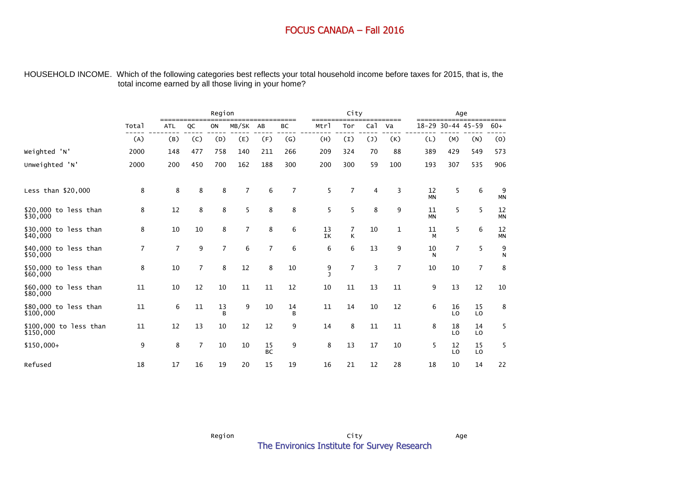#### HOUSEHOLD INCOME. Which of the following categories best reflects your total household income before taxes for 2015, that is, the total income earned by all those living in your home?

|                                     |                |                |                | Region         |                |                   |         |                   | City                |                 |                 |                 |                      | Age            |                 |
|-------------------------------------|----------------|----------------|----------------|----------------|----------------|-------------------|---------|-------------------|---------------------|-----------------|-----------------|-----------------|----------------------|----------------|-----------------|
|                                     | Total          | <b>ATL</b>     | QC             | ON             | MB/SK          | ___________<br>AB | ВC      | =======<br>Mtrl   | Tor                 | Ca <sub>1</sub> | =========<br>Va |                 | 18-29 30-44 45-59    |                | $60+$           |
|                                     | (A)            | (B)            | (C)            | (D)            | (E)            | (F)               | (G)     | (H)               | $\left(1\right)$    | $(\mathsf{J})$  | (K)             | (L)             | (M)                  | (N)            | (0)             |
| Weighted 'N'                        | 2000           | 148            | 477            | 758            | 140            | 211               | 266     | 209               | 324                 | 70              | 88              | 389             | 429                  | 549            | 573             |
| Unweighted 'N'                      | 2000           | 200            | 450            | 700            | 162            | 188               | 300     | 200               | 300                 | 59              | 100             | 193             | 307                  | 535            | 906             |
| Less than \$20,000                  | 8              | 8              | 8              | 8              | 7              | 6                 | 7       | 5                 | 7                   | 4               | 3               | 12<br><b>MN</b> | 5                    | 6              | 9<br>MN         |
| \$20,000 to less than<br>\$30,000   | 8              | 12             | 8              | 8              | 5              | 8                 | 8       | 5                 | 5                   | 8               | 9               | 11<br><b>MN</b> | 5                    | 5              | 12<br><b>MN</b> |
| \$30,000 to less than<br>\$40,000   | 8              | 10             | 10             | 8              | $\overline{7}$ | 8                 | 6       | 13<br>IK          | $\overline{7}$<br>K | 10              | 1               | 11<br>М         | 5                    | 6              | 12<br><b>MN</b> |
| \$40,000 to less than<br>\$50,000   | $\overline{7}$ | $\overline{7}$ | 9              | $\overline{7}$ | 6              | $\overline{7}$    | 6       | 6                 | 6                   | 13              | 9               | 10<br>N         | $\overline{7}$       | 5              | 9<br>N          |
| \$50,000 to less than<br>\$60,000   | 8              | 10             | $\overline{7}$ | 8              | 12             | 8                 | 10      | 9<br>$\mathbf{I}$ | $\overline{7}$      | 3               | $\overline{7}$  | 10              | 10                   | $\overline{7}$ | 8               |
| \$60,000 to less than<br>\$80,000   | 11             | 10             | 12             | 10             | 11             | 11                | 12      | 10                | 11                  | 13              | 11              | 9               | 13                   | 12             | 10              |
| \$80,000 to less than<br>\$100,000  | 11             | 6              | 11             | 13<br>в        | 9              | 10                | 14<br>В | 11                | 14                  | 10              | 12              | 6               | 16<br>LO             | 15<br>LO       | 8               |
| \$100,000 to less than<br>\$150,000 | 11             | 12             | 13             | 10             | 12             | 12                | 9       | 14                | 8                   | 11              | 11              | 8               | 18<br>LO             | 14<br>LO       | 5               |
| $$150,000+$                         | 9              | 8              | $\overline{7}$ | 10             | 10             | 15<br><b>BC</b>   | 9       | 8                 | 13                  | 17              | 10              | 5               | 12<br>L <sub>0</sub> | 15<br>LO       | 5               |
| Refused                             | 18             | 17             | 16             | 19             | 20             | 15                | 19      | 16                | 21                  | 12              | 28              | 18              | 10                   | 14             | 22              |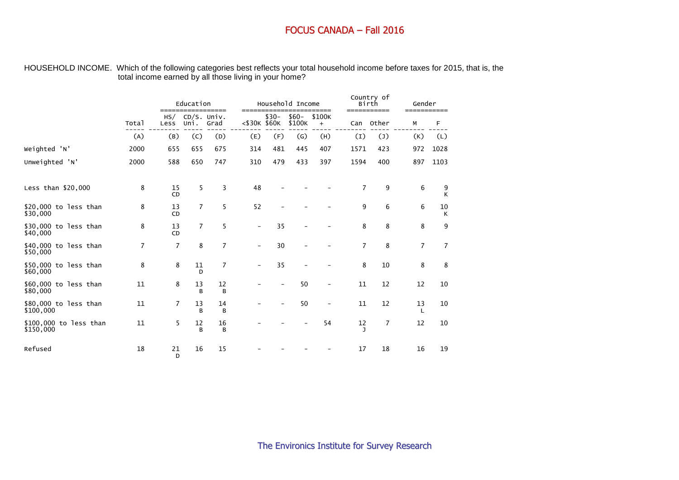#### HOUSEHOLD INCOME. Which of the following categories best reflects your total household income before taxes for 2015, that is, the total income earned by all those living in your home?

|                                     |       | =====           | Education           | =====          | ======                   |        | Household Income  | ====                     |                  | Country of<br>Birth<br>=========== | Gender<br>=========== |                |
|-------------------------------------|-------|-----------------|---------------------|----------------|--------------------------|--------|-------------------|--------------------------|------------------|------------------------------------|-----------------------|----------------|
|                                     | Total | HS/<br>Less     | CD/S. Univ.<br>Uni. | Grad           | <\$30K \$60K             | $$30-$ | $$60-$<br>\$100K  | \$100K<br>$\ddot{}$      | Can              | Other                              | М                     | F              |
|                                     | (A)   | (B)             | (C)                 | (D)            | (E)                      | (F)    | $\left( G\right)$ | (H)                      | $\left(1\right)$ | $(\mathsf{J})$                     | (K)                   | (L)            |
| Weighted 'N'                        | 2000  | 655             | 655                 | 675            | 314                      | 481    | 445               | 407                      | 1571             | 423                                | 972                   | 1028           |
| Unweighted 'N'                      | 2000  | 588             | 650                 | 747            | 310                      | 479    | 433               | 397                      | 1594             | 400                                | 897                   | 1103           |
| Less than \$20,000                  | 8     | 15<br><b>CD</b> | 5                   | 3              | 48                       |        |                   |                          | $\overline{7}$   | 9                                  | 6                     | 9<br>K         |
| \$20,000 to less than<br>\$30,000   | 8     | 13<br><b>CD</b> | $\overline{7}$      | 5              | 52                       |        |                   |                          | 9                | 6                                  | 6                     | 10<br>К        |
| \$30,000 to less than<br>\$40,000   | 8     | 13<br>CD        | $\overline{7}$      | 5              |                          | 35     |                   |                          | 8                | 8                                  | 8                     | 9              |
| \$40,000 to less than<br>\$50,000   | 7     | $\overline{7}$  | 8                   | $\overline{7}$ | $\overline{\phantom{m}}$ | 30     |                   |                          | $\overline{7}$   | 8                                  | $\overline{7}$        | $\overline{7}$ |
| \$50,000 to less than<br>\$60,000   | 8     | 8               | 11<br>D             | $\overline{7}$ | $\overline{\phantom{a}}$ | 35     |                   |                          | 8                | 10                                 | 8                     | 8              |
| \$60,000 to less than<br>\$80,000   | 11    | 8               | 13<br>B             | 12<br>B        |                          |        | 50                |                          | 11               | 12                                 | 12                    | 10             |
| \$80,000 to less than<br>\$100,000  | 11    | 7               | 13<br>B             | 14<br>B        |                          |        | 50                | $\overline{\phantom{a}}$ | 11               | 12                                 | 13                    | 10             |
| \$100,000 to less than<br>\$150,000 | 11    | 5               | 12<br>B             | 16<br>в        |                          |        |                   | 54                       | 12<br>J          | $\overline{7}$                     | 12                    | 10             |
| Refused                             | 18    | 21<br>D         | 16                  | 15             |                          |        |                   |                          | 17               | 18                                 | 16                    | 19             |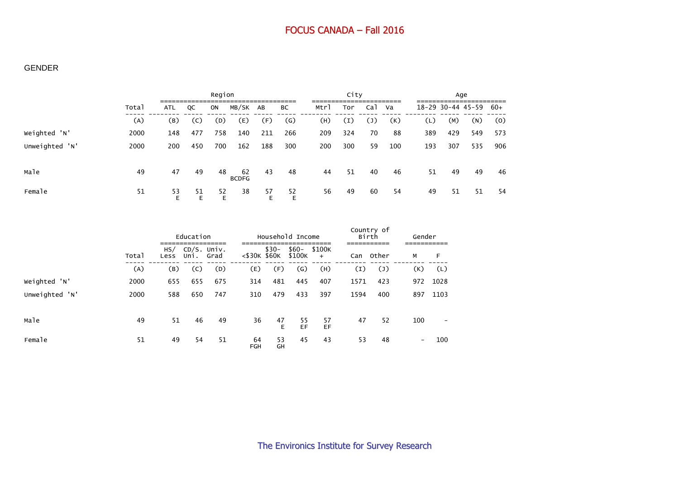#### GENDER

|                |       |         | Region  |         |                    |         |                   |      | City |                |     |     | Age               |     |       |  |
|----------------|-------|---------|---------|---------|--------------------|---------|-------------------|------|------|----------------|-----|-----|-------------------|-----|-------|--|
|                | Total | ATL     | QC      | ON      | MB/SK              | AB      | ВC                | Mtrl | Tor  | Cal            | Va  |     | 18-29 30-44 45-59 |     | $60+$ |  |
|                | (A)   | (B)     | (C)     | (D)     | (E)                | (F)     | $\left( G\right)$ | (H)  | (I)  | $(\mathsf{J})$ | (K) | (L) | (M)               | (N) | (0)   |  |
| Weighted 'N'   | 2000  | 148     | 477     | 758     | 140                | 211     | 266               | 209  | 324  | 70             | 88  | 389 | 429               | 549 | 573   |  |
| Unweighted 'N' | 2000  | 200     | 450     | 700     | 162                | 188     | 300               | 200  | 300  | 59             | 100 | 193 | 307               | 535 | 906   |  |
| Male           | 49    | 47      | 49      | 48      | 62<br><b>BCDFG</b> | 43      | 48                | 44   | 51   | 40             | 46  | 51  | 49                | 49  | 46    |  |
| Female         | 51    | 53<br>E | 51<br>Ε | 52<br>E | 38                 | 57<br>E | 52                | 56   | 49   | 60             | 54  | 49  | 51                | 51  | -54   |  |

|                |       |             | Education           |      |                  |          | Household Income  |               | Country of<br>Birth |                | Gender                   |      |
|----------------|-------|-------------|---------------------|------|------------------|----------|-------------------|---------------|---------------------|----------------|--------------------------|------|
|                | Total | HS/<br>Less | CD/S. Univ.<br>Uni. | Grad | $<$ \$30K \$60K  | $$30-$   | \$60-<br>\$100K   | \$100K<br>$+$ | Can                 | Other          | М                        | F    |
|                | (A)   | (B)         | (C)                 | (D)  | (E)              | (F)      | $\left( G\right)$ | (H)           | $\left(1\right)$    | $(\mathsf{J})$ | (K)                      | (L)  |
| Weighted 'N'   | 2000  | 655         | 655                 | 675  | 314              | 481      | 445               | 407           | 1571                | 423            | 972                      | 1028 |
| Unweighted 'N' | 2000  | 588         | 650                 | 747  | 310              | 479      | 433               | 397           | 1594                | 400            | 897                      | 1103 |
| Male           | 49    | 51          | 46                  | 49   | 36               | 47<br>E  | 55<br>EF          | 57<br>EF      | 47                  | 52             | 100                      |      |
| Female         | 51    | 49          | 54                  | 51   | 64<br><b>FGH</b> | 53<br>GH | 45                | 43            | 53                  | 48             | $\overline{\phantom{a}}$ | 100  |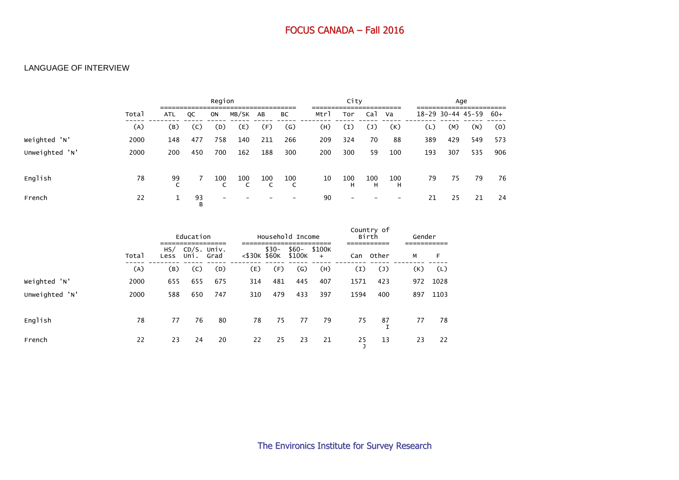#### LANGUAGE OF INTERVIEW

|                |       | Region     |         |     |          |     |                | City |                          |                | Age                      |                   |     |     |       |
|----------------|-------|------------|---------|-----|----------|-----|----------------|------|--------------------------|----------------|--------------------------|-------------------|-----|-----|-------|
|                | Total | <b>ATL</b> | QC      | ON  | MB/SK AB |     | ВC             | Mtrl | Tor                      | Ca1            | Va                       | 18-29 30-44 45-59 |     |     | $60+$ |
|                | (A)   | (B)        | (C)     | (D) | (E)      | (F) | $\mathsf{(G)}$ | (H)  | (I)                      | $(\mathsf{J})$ | (K)                      | (L)               | (M) | (N) | (0)   |
| Weighted 'N'   | 2000  | 148        | 477     | 758 | 140      | 211 | 266            | 209  | 324                      | 70             | 88                       | 389               | 429 | 549 | 573   |
| Unweighted 'N' | 2000  | 200        | 450     | 700 | 162      | 188 | 300            | 200  | 300                      | 59             | 100                      | 193               | 307 | 535 | 906   |
| English        | 78    | 99         |         | 100 | 100      | 100 | 100<br>C       | 10   | 100<br>н                 | 100<br>H       | 100<br>н                 | 79                | 75  | 79  | 76    |
| French         | 22    | 1          | 93<br>B |     |          |     |                | 90   | $\overline{\phantom{a}}$ |                | $\overline{\phantom{0}}$ | 21                | 25  | 21  | 24    |

|                |       |             | Education             |      |                 |        | Household Income  |               | Country of<br>Birth |                | Gender |      |
|----------------|-------|-------------|-----------------------|------|-----------------|--------|-------------------|---------------|---------------------|----------------|--------|------|
|                | Total | HS/<br>Less | $CD/S.$ Univ.<br>Uni. | Grad | $<$ \$30K \$60K | $$30-$ | $$60-$<br>\$100K  | \$100K<br>$+$ | Can                 | Other          | М      | F    |
|                | (A)   | (B)         | (C)                   | (D)  | (E)             | (F)    | $\left( G\right)$ | (H)           | (I)                 | $(\mathsf{J})$ | (K)    | (L)  |
| Weighted 'N'   | 2000  | 655         | 655                   | 675  | 314             | 481    | 445               | 407           | 1571                | 423            | 972    | 1028 |
| Unweighted 'N' | 2000  | 588         | 650                   | 747  | 310             | 479    | 433               | 397           | 1594                | 400            | 897    | 1103 |
| English        | 78    | 77          | 76                    | 80   | 78              | 75     | 77                | 79            | 75                  | 87             | 77     | 78   |
| French         | 22    | 23          | 24                    | 20   | 22              | 25     | 23                | 21            | 25                  | 13             | 23     | 22   |